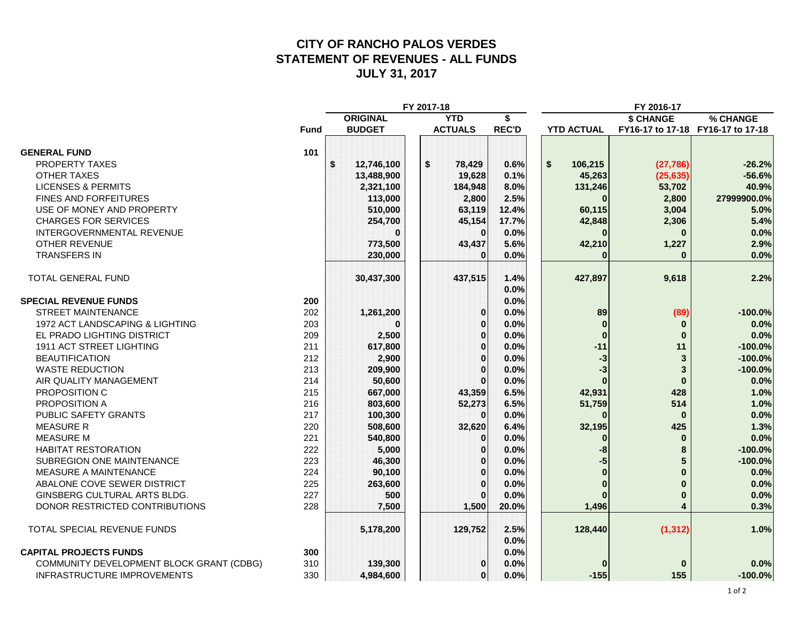#### **CITY OF RANCHO PALOS VERDES STATEMENT OF REVENUES - ALL FUNDS JULY 31, 2017**

|                                          | FY 2017-18  |                               |               |    |                  |              | FY 2016-17        |           |                                   |
|------------------------------------------|-------------|-------------------------------|---------------|----|------------------|--------------|-------------------|-----------|-----------------------------------|
|                                          |             | <b>ORIGINAL</b><br><b>YTD</b> |               |    | \$               |              | \$ CHANGE         | % CHANGE  |                                   |
|                                          | <b>Fund</b> |                               | <b>BUDGET</b> |    | <b>ACTUALS</b>   | <b>REC'D</b> | <b>YTD ACTUAL</b> |           | FY16-17 to 17-18 FY16-17 to 17-18 |
|                                          |             |                               |               |    |                  |              |                   |           |                                   |
| <b>GENERAL FUND</b>                      | 101         |                               |               |    |                  |              |                   |           |                                   |
| <b>PROPERTY TAXES</b>                    |             | $\mathbf s$                   | 12,746,100    | \$ | 78,429           | 0.6%         | \$<br>106,215     | (27, 786) | $-26.2%$                          |
| <b>OTHER TAXES</b>                       |             |                               | 13,488,900    |    | 19,628           | 0.1%         | 45,263            | (25, 635) | $-56.6%$                          |
| <b>LICENSES &amp; PERMITS</b>            |             |                               | 2,321,100     |    | 184,948          | 8.0%         | 131,246           | 53,702    | 40.9%                             |
| <b>FINES AND FORFEITURES</b>             |             |                               | 113,000       |    | 2,800            | 2.5%         | $\bf{0}$          | 2,800     | 27999900.0%                       |
| USE OF MONEY AND PROPERTY                |             |                               | 510,000       |    | 63,119           | 12.4%        | 60,115            | 3,004     | 5.0%                              |
| <b>CHARGES FOR SERVICES</b>              |             |                               | 254,700       |    | 45,154           | 17.7%        | 42,848            | 2,306     | 5.4%                              |
| INTERGOVERNMENTAL REVENUE                |             |                               |               |    | $\Omega$         | 0.0%         | $\Omega$          | $\Omega$  | 0.0%                              |
| <b>OTHER REVENUE</b>                     |             |                               | 773,500       |    | 43,437           | 5.6%         | 42,210            | 1,227     | 2.9%                              |
| <b>TRANSFERS IN</b>                      |             |                               | 230,000       |    | $\boldsymbol{0}$ | 0.0%         | $\bf{0}$          | $\bf{0}$  | 0.0%                              |
| TOTAL GENERAL FUND                       |             |                               | 30,437,300    |    | 437,515          | 1.4%         | 427,897           | 9,618     | 2.2%                              |
|                                          |             |                               |               |    |                  | 0.0%         |                   |           |                                   |
| <b>SPECIAL REVENUE FUNDS</b>             | 200         |                               |               |    |                  | 0.0%         |                   |           |                                   |
| <b>STREET MAINTENANCE</b>                | 202         |                               | 1,261,200     |    | 0                | 0.0%         | 89                | (89)      | $-100.0%$                         |
| 1972 ACT LANDSCAPING & LIGHTING          | 203         |                               | n             |    | $\mathbf 0$      | 0.0%         | $\bf{0}$          | 0         | 0.0%                              |
| EL PRADO LIGHTING DISTRICT               | 209         |                               | 2,500         |    | $\bf{0}$         | 0.0%         | $\bf{0}$          | $\bf{0}$  | 0.0%                              |
| 1911 ACT STREET LIGHTING                 | 211         |                               | 617,800       |    | $\bf{0}$         | 0.0%         | $-11$             | 11        | $-100.0%$                         |
| <b>BEAUTIFICATION</b>                    | 212         |                               | 2,900         |    | $\mathbf 0$      | 0.0%         | $-3$              | 3         | $-100.0%$                         |
| <b>WASTE REDUCTION</b>                   | 213         |                               | 209,900       |    | $\Omega$         | 0.0%         | $-3$              | 3         | $-100.0%$                         |
| AIR QUALITY MANAGEMENT                   | 214         |                               | 50,600        |    | $\Omega$         | 0.0%         |                   | $\bf{0}$  | 0.0%                              |
| PROPOSITION C                            | 215         |                               | 667,000       |    | 43,359           | 6.5%         | 42,931            | 428       | 1.0%                              |
| PROPOSITION A                            | 216         |                               | 803,600       |    | 52,273           | 6.5%         | 51,759            | 514       | 1.0%                              |
| PUBLIC SAFETY GRANTS                     | 217         |                               | 100,300       |    | $\Omega$         | 0.0%         | $\bf{0}$          | $\bf{0}$  | 0.0%                              |
| <b>MEASURE R</b>                         | 220         |                               | 508,600       |    | 32,620           | 6.4%         | 32,195            | 425       | 1.3%                              |
| <b>MEASURE M</b>                         | 221         |                               | 540,800       |    | $\boldsymbol{0}$ | 0.0%         | $\bf{0}$          | $\bf{0}$  | 0.0%                              |
| <b>HABITAT RESTORATION</b>               | 222         |                               | 5,000         |    | $\bf{0}$         | 0.0%         | -8                | 8         | $-100.0%$                         |
| SUBREGION ONE MAINTENANCE                | 223         |                               | 46,300        |    | $\mathbf 0$      | 0.0%         | -5                | 5         | $-100.0%$                         |
| MEASURE A MAINTENANCE                    | 224         |                               | 90,100        |    | $\mathbf 0$      | 0.0%         | $\bf{0}$          | O         | 0.0%                              |
| ABALONE COVE SEWER DISTRICT              | 225         |                               | 263,600       |    | $\Omega$         | 0.0%         | $\mathbf{0}$      | $\bf{0}$  | 0.0%                              |
| GINSBERG CULTURAL ARTS BLDG.             | 227         |                               | 500           |    | $\bf{0}$         | 0.0%         | $\bf{0}$          | $\bf{0}$  | 0.0%                              |
| DONOR RESTRICTED CONTRIBUTIONS           | 228         |                               | 7,500         |    | 1,500            | 20.0%        | 1,496             | 4         | 0.3%                              |
| TOTAL SPECIAL REVENUE FUNDS              |             |                               | 5,178,200     |    | 129,752          | 2.5%<br>0.0% | 128,440           | (1, 312)  | 1.0%                              |
| <b>CAPITAL PROJECTS FUNDS</b>            | 300         |                               |               |    |                  | 0.0%         |                   |           |                                   |
| COMMUNITY DEVELOPMENT BLOCK GRANT (CDBG) | 310         |                               | 139,300       |    | 0                | 0.0%         |                   | $\bf{0}$  | 0.0%                              |
| <b>INFRASTRUCTURE IMPROVEMENTS</b>       | 330         |                               | 4,984,600     |    | $\bf{0}$         | 0.0%         | $-155$            | 155       | $-100.0%$                         |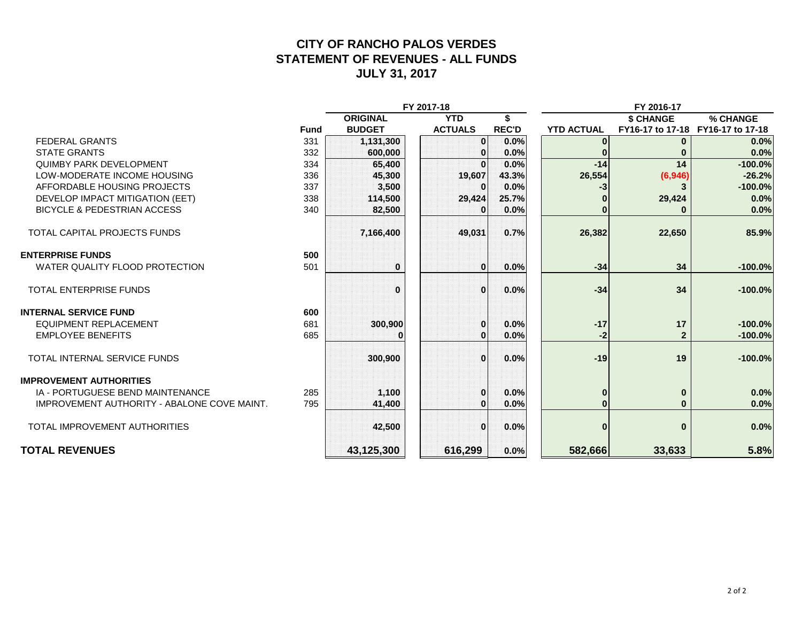#### **CITY OF RANCHO PALOS VERDES STATEMENT OF REVENUES - ALL FUNDS JULY 31, 2017**

|                                             |             | FY 2017-18      |                |              |                   | FY 2016-17                        |           |
|---------------------------------------------|-------------|-----------------|----------------|--------------|-------------------|-----------------------------------|-----------|
|                                             |             | <b>ORIGINAL</b> | <b>YTD</b>     | S            |                   | \$ CHANGE                         | % CHANGE  |
|                                             | <b>Fund</b> | <b>BUDGET</b>   | <b>ACTUALS</b> | <b>REC'D</b> | <b>YTD ACTUAL</b> | FY16-17 to 17-18 FY16-17 to 17-18 |           |
| <b>FEDERAL GRANTS</b>                       | 331         | 1,131,300       | $\mathbf{0}$   | 0.0%         |                   | $\bf{0}$                          | 0.0%      |
| <b>STATE GRANTS</b>                         | 332         | 600,000         | 0              | 0.0%         |                   |                                   | 0.0%      |
| <b>QUIMBY PARK DEVELOPMENT</b>              | 334         | 65,400          | $\Omega$       | 0.0%         | $-14$             | 14                                | $-100.0%$ |
| LOW-MODERATE INCOME HOUSING                 | 336         | 45,300          | 19,607         | 43.3%        | 26,554            | (6, 946)                          | $-26.2%$  |
| AFFORDABLE HOUSING PROJECTS                 | 337         | 3,500           | 0              | 0.0%         | -3                |                                   | $-100.0%$ |
| DEVELOP IMPACT MITIGATION (EET)             | 338         | 114,500         | 29,424         | 25.7%        |                   | 29,424                            | 0.0%      |
| <b>BICYCLE &amp; PEDESTRIAN ACCESS</b>      | 340         | 82,500          |                | 0.0%         |                   |                                   | 0.0%      |
| TOTAL CAPITAL PROJECTS FUNDS                |             | 7,166,400       | 49,031         | 0.7%         | 26,382            | 22,650                            | 85.9%     |
| <b>ENTERPRISE FUNDS</b>                     | 500         |                 |                |              |                   |                                   |           |
| WATER QUALITY FLOOD PROTECTION              | 501         | $\bf{0}$        | $\Omega$       | 0.0%         | $-34$             | 34                                | $-100.0%$ |
| <b>TOTAL ENTERPRISE FUNDS</b>               |             | O               | $\Omega$       | 0.0%         | $-34$             | 34                                | $-100.0%$ |
| <b>INTERNAL SERVICE FUND</b>                | 600         |                 |                |              |                   |                                   |           |
| <b>EQUIPMENT REPLACEMENT</b>                | 681         | 300,900         | $\bf{0}$       | 0.0%         | $-17$             | 17                                | $-100.0%$ |
| <b>EMPLOYEE BENEFITS</b>                    | 685         |                 | $\bf{0}$       | 0.0%         | -2                | $\overline{2}$                    | $-100.0%$ |
| <b>TOTAL INTERNAL SERVICE FUNDS</b>         |             | 300,900         | $\Omega$       | 0.0%         | $-19$             | 19                                | $-100.0%$ |
| <b>IMPROVEMENT AUTHORITIES</b>              |             |                 |                |              |                   |                                   |           |
| IA - PORTUGUESE BEND MAINTENANCE            | 285         | 1,100           | $\bf{0}$       | 0.0%         | $\mathbf{0}$      | $\bf{0}$                          | 0.0%      |
| IMPROVEMENT AUTHORITY - ABALONE COVE MAINT. | 795         | 41,400          | $\Omega$       | 0.0%         |                   | $\bf{0}$                          | 0.0%      |
| <b>TOTAL IMPROVEMENT AUTHORITIES</b>        |             | 42,500          | $\Omega$       | 0.0%         | $\bf{0}$          | $\bf{0}$                          | 0.0%      |
| <b>TOTAL REVENUES</b>                       |             | 43,125,300      | 616,299        | 0.0%         | 582,666           | 33,633                            | 5.8%      |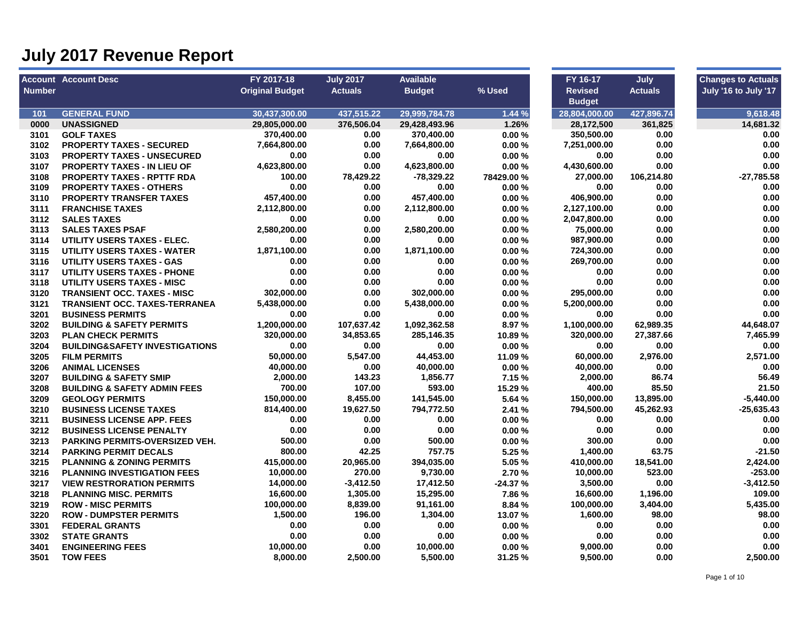|               | <b>Account Account Desc</b>               | FY 2017-18             | <b>July 2017</b> | <b>Available</b> |            | FY 16-17       | July           | <b>Changes to Actuals</b> |
|---------------|-------------------------------------------|------------------------|------------------|------------------|------------|----------------|----------------|---------------------------|
| <b>Number</b> |                                           | <b>Original Budget</b> | <b>Actuals</b>   | <b>Budget</b>    | % Used     | <b>Revised</b> | <b>Actuals</b> | July '16 to July '17      |
|               |                                           |                        |                  |                  |            | <b>Budget</b>  |                |                           |
| 101           | <b>GENERAL FUND</b>                       | 30,437,300.00          | 437.515.22       | 29,999,784.78    | 1.44%      | 28.804.000.00  | 427,896.74     | 9.618.48                  |
| 0000          | <b>UNASSIGNED</b>                         | 29,805,000.00          | 376,506.04       | 29,428,493.96    | 1.26%      | 28,172,500     | 361,825        | 14.681.32                 |
| 3101          | <b>GOLF TAXES</b>                         | 370,400.00             | 0.00             | 370,400.00       | 0.00%      | 350,500.00     | 0.00           | 0.00                      |
| 3102          | <b>PROPERTY TAXES - SECURED</b>           | 7,664,800.00           | 0.00             | 7,664,800.00     | 0.00%      | 7,251,000.00   | 0.00           | 0.00                      |
| 3103          | <b>PROPERTY TAXES - UNSECURED</b>         | 0.00                   | 0.00             | 0.00             | 0.00%      | 0.00           | 0.00           | 0.00                      |
| 3107          | <b>PROPERTY TAXES - IN LIEU OF</b>        | 4,623,800.00           | 0.00             | 4,623,800.00     | 0.00%      | 4,430,600.00   | 0.00           | 0.00                      |
| 3108          | <b>PROPERTY TAXES - RPTTF RDA</b>         | 100.00                 | 78,429.22        | $-78,329.22$     | 78429.00 % | 27,000.00      | 106,214.80     | $-27,785.58$              |
| 3109          | <b>PROPERTY TAXES - OTHERS</b>            | 0.00                   | 0.00             | 0.00             | 0.00%      | 0.00           | 0.00           | 0.00                      |
| 3110          | <b>PROPERTY TRANSFER TAXES</b>            | 457,400.00             | 0.00             | 457,400.00       | 0.00%      | 406,900.00     | 0.00           | 0.00                      |
| 3111          | <b>FRANCHISE TAXES</b>                    | 2,112,800.00           | 0.00             | 2,112,800.00     | 0.00%      | 2,127,100.00   | 0.00           | 0.00                      |
| 3112          | <b>SALES TAXES</b>                        | 0.00                   | 0.00             | 0.00             | 0.00%      | 2,047,800.00   | 0.00           | 0.00                      |
| 3113          | <b>SALES TAXES PSAF</b>                   | 2,580,200.00           | 0.00             | 2,580,200.00     | 0.00%      | 75,000.00      | 0.00           | 0.00                      |
| 3114          | UTILITY USERS TAXES - ELEC.               | 0.00                   | 0.00             | 0.00             | 0.00%      | 987,900.00     | 0.00           | 0.00                      |
| 3115          | UTILITY USERS TAXES - WATER               | 1,871,100.00           | 0.00             | 1,871,100.00     | 0.00%      | 724,300.00     | 0.00           | 0.00                      |
| 3116          | UTILITY USERS TAXES - GAS                 | 0.00                   | 0.00             | 0.00             | 0.00%      | 269,700.00     | 0.00           | 0.00                      |
| 3117          | <b>UTILITY USERS TAXES - PHONE</b>        | 0.00                   | 0.00             | 0.00             | 0.00%      | 0.00           | 0.00           | 0.00                      |
| 3118          | UTILITY USERS TAXES - MISC                | 0.00                   | 0.00             | 0.00             | 0.00%      | 0.00           | 0.00           | 0.00                      |
| 3120          | <b>TRANSIENT OCC. TAXES - MISC</b>        | 302,000.00             | 0.00             | 302,000.00       | 0.00%      | 295,000.00     | 0.00           | 0.00                      |
| 3121          | <b>TRANSIENT OCC. TAXES-TERRANEA</b>      | 5,438,000.00           | 0.00             | 5,438,000.00     | 0.00%      | 5,200,000.00   | 0.00           | 0.00                      |
| 3201          | <b>BUSINESS PERMITS</b>                   | 0.00                   | 0.00             | 0.00             | 0.00%      | 0.00           | 0.00           | 0.00                      |
| 3202          | <b>BUILDING &amp; SAFETY PERMITS</b>      | 1,200,000.00           | 107,637.42       | 1,092,362.58     | 8.97 %     | 1,100,000.00   | 62,989.35      | 44,648.07                 |
| 3203          | <b>PLAN CHECK PERMITS</b>                 | 320,000.00             | 34,853.65        | 285,146.35       | 10.89%     | 320,000.00     | 27,387.66      | 7,465.99                  |
| 3204          | <b>BUILDING&amp;SAFETY INVESTIGATIONS</b> | 0.00                   | 0.00             | 0.00             | 0.00%      | 0.00           | 0.00           | 0.00                      |
| 3205          | <b>FILM PERMITS</b>                       | 50,000.00              | 5,547.00         | 44,453.00        | 11.09 %    | 60,000.00      | 2,976.00       | 2,571.00                  |
| 3206          | <b>ANIMAL LICENSES</b>                    | 40,000.00              | 0.00             | 40,000.00        | 0.00%      | 40,000.00      | 0.00           | 0.00                      |
| 3207          | <b>BUILDING &amp; SAFETY SMIP</b>         | 2,000.00               | 143.23           | 1,856.77         | 7.15 %     | 2,000.00       | 86.74          | 56.49                     |
| 3208          | <b>BUILDING &amp; SAFETY ADMIN FEES</b>   | 700.00                 | 107.00           | 593.00           | 15.29 %    | 400.00         | 85.50          | 21.50                     |
| 3209          | <b>GEOLOGY PERMITS</b>                    | 150,000.00             | 8,455.00         | 141,545.00       | 5.64 %     | 150,000.00     | 13,895.00      | $-5,440.00$               |
| 3210          | <b>BUSINESS LICENSE TAXES</b>             | 814,400.00             | 19,627.50        | 794,772.50       | 2.41%      | 794,500.00     | 45,262.93      | $-25,635.43$              |
| 3211          | <b>BUSINESS LICENSE APP. FEES</b>         | 0.00                   | 0.00             | 0.00             | 0.00%      | 0.00           | 0.00           | 0.00                      |
| 3212          | <b>BUSINESS LICENSE PENALTY</b>           | 0.00                   | 0.00             | 0.00             | 0.00%      | 0.00           | 0.00           | 0.00                      |
| 3213          | <b>PARKING PERMITS-OVERSIZED VEH.</b>     | 500.00                 | 0.00             | 500.00           | 0.00%      | 300.00         | 0.00           | 0.00                      |
| 3214          | <b>PARKING PERMIT DECALS</b>              | 800.00                 | 42.25            | 757.75           | 5.25 %     | 1,400.00       | 63.75          | $-21.50$                  |
| 3215          | <b>PLANNING &amp; ZONING PERMITS</b>      | 415,000.00             | 20,965.00        | 394,035.00       | 5.05 %     | 410,000.00     | 18,541.00      | 2,424.00                  |
| 3216          | <b>PLANNING INVESTIGATION FEES</b>        | 10,000.00              | 270.00           | 9,730.00         | 2.70%      | 10,000.00      | 523.00         | $-253.00$                 |
| 3217          | <b>VIEW RESTRORATION PERMITS</b>          | 14,000.00              | $-3,412.50$      | 17,412.50        | $-24.37%$  | 3,500.00       | 0.00           | $-3,412.50$               |
| 3218          | <b>PLANNING MISC. PERMITS</b>             | 16,600.00              | 1,305.00         | 15,295.00        | 7.86 %     | 16,600.00      | 1,196.00       | 109.00                    |
| 3219          | <b>ROW - MISC PERMITS</b>                 | 100,000.00             | 8,839.00         | 91,161.00        | 8.84 %     | 100,000.00     | 3,404.00       | 5,435.00                  |
| 3220          | <b>ROW - DUMPSTER PERMITS</b>             | 1,500.00               | 196.00           | 1,304.00         | 13.07%     | 1,600.00       | 98.00          | 98.00                     |
| 3301          | <b>FEDERAL GRANTS</b>                     | 0.00                   | 0.00             | 0.00             | 0.00%      | 0.00           | 0.00           | 0.00                      |
| 3302          | <b>STATE GRANTS</b>                       | 0.00                   | 0.00             | 0.00             | 0.00%      | 0.00           | 0.00           | 0.00                      |
| 3401          | <b>ENGINEERING FEES</b>                   | 10,000.00              | 0.00             | 10,000.00        | 0.00%      | 9,000.00       | 0.00           | 0.00                      |
| 3501          | <b>TOW FEES</b>                           | 8,000.00               | 2,500.00         | 5,500.00         | 31.25 %    | 9,500.00       | 0.00           | 2,500.00                  |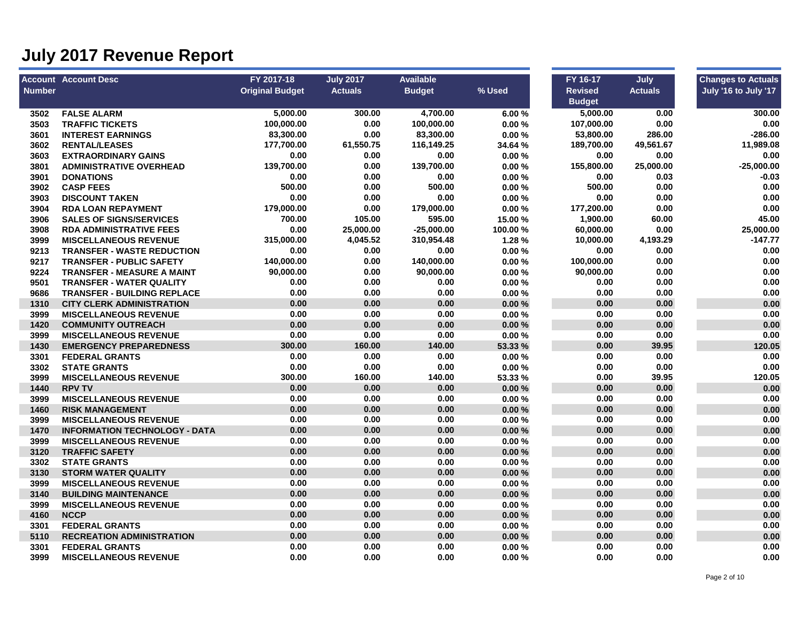|               | <b>Account Account Desc</b>          | FY 2017-18             | <b>July 2017</b> | <b>Available</b> |         | FY 16-17       | July           | <b>Changes to Actuals</b> |
|---------------|--------------------------------------|------------------------|------------------|------------------|---------|----------------|----------------|---------------------------|
| <b>Number</b> |                                      | <b>Original Budget</b> | <b>Actuals</b>   | <b>Budget</b>    | % Used  | <b>Revised</b> | <b>Actuals</b> | July '16 to July '17      |
|               |                                      |                        |                  |                  |         | <b>Budget</b>  |                |                           |
| 3502          | <b>FALSE ALARM</b>                   | 5.000.00               | 300.00           | 4,700.00         | 6.00%   | 5,000.00       | 0.00           | 300.00                    |
| 3503          | <b>TRAFFIC TICKETS</b>               | 100,000.00             | 0.00             | 100,000.00       | 0.00%   | 107,000.00     | 0.00           | 0.00                      |
| 3601          | <b>INTEREST EARNINGS</b>             | 83,300.00              | 0.00             | 83,300.00        | 0.00%   | 53,800.00      | 286.00         | $-286.00$                 |
| 3602          | <b>RENTAL/LEASES</b>                 | 177,700.00             | 61,550.75        | 116,149.25       | 34.64 % | 189,700.00     | 49,561.67      | 11,989.08                 |
| 3603          | <b>EXTRAORDINARY GAINS</b>           | 0.00                   | 0.00             | 0.00             | 0.00%   | 0.00           | 0.00           | 0.00                      |
| 3801          | <b>ADMINISTRATIVE OVERHEAD</b>       | 139,700.00             | 0.00             | 139,700.00       | 0.00%   | 155,800.00     | 25,000.00      | $-25,000.00$              |
| 3901          | <b>DONATIONS</b>                     | 0.00                   | 0.00             | 0.00             | 0.00%   | 0.00           | 0.03           | $-0.03$                   |
| 3902          | <b>CASP FEES</b>                     | 500.00                 | 0.00             | 500.00           | 0.00%   | 500.00         | 0.00           | 0.00                      |
| 3903          | <b>DISCOUNT TAKEN</b>                | 0.00                   | 0.00             | 0.00             | 0.00%   | 0.00           | 0.00           | 0.00                      |
| 3904          | <b>RDA LOAN REPAYMENT</b>            | 179,000.00             | 0.00             | 179,000.00       | 0.00%   | 177,200.00     | 0.00           | 0.00                      |
| 3906          | <b>SALES OF SIGNS/SERVICES</b>       | 700.00                 | 105.00           | 595.00           | 15.00 % | 1,900.00       | 60.00          | 45.00                     |
| 3908          | <b>RDA ADMINISTRATIVE FEES</b>       | 0.00                   | 25,000.00        | $-25,000.00$     | 100.00% | 60,000.00      | 0.00           | 25,000.00                 |
| 3999          | <b>MISCELLANEOUS REVENUE</b>         | 315,000.00             | 4,045.52         | 310,954.48       | 1.28%   | 10,000.00      | 4,193.29       | -147.77                   |
| 9213          | <b>TRANSFER - WASTE REDUCTION</b>    | 0.00                   | 0.00             | 0.00             | 0.00%   | 0.00           | 0.00           | 0.00                      |
| 9217          | <b>TRANSFER - PUBLIC SAFETY</b>      | 140,000.00             | 0.00             | 140,000.00       | 0.00%   | 100,000.00     | 0.00           | 0.00                      |
| 9224          | TRANSFER - MEASURE A MAINT           | 90,000.00              | 0.00             | 90,000.00        | 0.00%   | 90,000.00      | 0.00           | 0.00                      |
| 9501          | <b>TRANSFER - WATER QUALITY</b>      | 0.00                   | 0.00             | 0.00             | 0.00%   | 0.00           | 0.00           | 0.00                      |
| 9686          | <b>TRANSFER - BUILDING REPLACE</b>   | 0.00                   | 0.00             | 0.00             | 0.00%   | 0.00           | 0.00           | 0.00                      |
| 1310          | <b>CITY CLERK ADMINISTRATION</b>     | 0.00                   | 0.00             | 0.00             | 0.00%   | 0.00           | 0.00           | 0.00                      |
| 3999          | <b>MISCELLANEOUS REVENUE</b>         | 0.00                   | 0.00             | 0.00             | 0.00%   | 0.00           | 0.00           | 0.00                      |
| 1420          | <b>COMMUNITY OUTREACH</b>            | 0.00                   | 0.00             | 0.00             | 0.00%   | 0.00           | 0.00           | 0.00                      |
| 3999          | <b>MISCELLANEOUS REVENUE</b>         | 0.00                   | 0.00             | 0.00             | 0.00%   | 0.00           | 0.00           | 0.00                      |
| 1430          | <b>EMERGENCY PREPAREDNESS</b>        | 300.00                 | 160.00           | 140.00           | 53.33 % | 0.00           | 39.95          | 120.05                    |
| 3301          | <b>FEDERAL GRANTS</b>                | 0.00                   | 0.00             | 0.00             | 0.00%   | 0.00           | 0.00           | 0.00                      |
| 3302          | <b>STATE GRANTS</b>                  | 0.00                   | 0.00             | 0.00             | 0.00%   | 0.00           | 0.00           | 0.00                      |
| 3999          | <b>MISCELLANEOUS REVENUE</b>         | 300.00                 | 160.00           | 140.00           | 53.33 % | 0.00           | 39.95          | 120.05                    |
| 1440          | <b>RPV TV</b>                        | 0.00                   | 0.00             | 0.00             | 0.00%   | 0.00           | 0.00           | 0.00                      |
| 3999          | <b>MISCELLANEOUS REVENUE</b>         | 0.00                   | 0.00             | 0.00             | 0.00%   | 0.00           | 0.00           | 0.00                      |
| 1460          | <b>RISK MANAGEMENT</b>               | 0.00                   | 0.00             | 0.00             | 0.00%   | 0.00           | 0.00           | 0.00                      |
| 3999          | <b>MISCELLANEOUS REVENUE</b>         | 0.00                   | 0.00             | 0.00             | 0.00%   | 0.00           | 0.00           | 0.00                      |
| 1470          | <b>INFORMATION TECHNOLOGY - DATA</b> | 0.00                   | 0.00             | 0.00             | 0.00%   | 0.00           | 0.00           | 0.00                      |
| 3999          | <b>MISCELLANEOUS REVENUE</b>         | 0.00                   | 0.00             | 0.00             | 0.00%   | 0.00           | 0.00           | 0.00                      |
| 3120          | <b>TRAFFIC SAFETY</b>                | 0.00                   | 0.00             | 0.00             | 0.00%   | 0.00           | 0.00           | 0.00                      |
| 3302          | <b>STATE GRANTS</b>                  | 0.00                   | 0.00             | 0.00             | 0.00%   | 0.00           | 0.00           | 0.00                      |
| 3130          | <b>STORM WATER QUALITY</b>           | 0.00                   | 0.00             | 0.00             | 0.00%   | 0.00           | 0.00           | 0.00                      |
| 3999          | <b>MISCELLANEOUS REVENUE</b>         | 0.00                   | 0.00             | 0.00             | 0.00%   | 0.00           | 0.00           | 0.00                      |
| 3140          | <b>BUILDING MAINTENANCE</b>          | 0.00                   | 0.00             | 0.00             | 0.00%   | 0.00           | 0.00           | 0.00                      |
| 3999          | <b>MISCELLANEOUS REVENUE</b>         | 0.00                   | 0.00             | 0.00             | 0.00%   | 0.00           | 0.00           | 0.00                      |
| 4160          | <b>NCCP</b>                          | 0.00                   | 0.00             | 0.00             | 0.00%   | 0.00           | 0.00           | 0.00                      |
| 3301          | <b>FEDERAL GRANTS</b>                | 0.00                   | 0.00             | 0.00             | 0.00%   | 0.00           | 0.00           | 0.00                      |
| 5110          | <b>RECREATION ADMINISTRATION</b>     | 0.00                   | 0.00             | 0.00             | 0.00%   | 0.00           | 0.00           | 0.00                      |
| 3301          | <b>FEDERAL GRANTS</b>                | 0.00                   | 0.00             | 0.00             | 0.00%   | 0.00           | 0.00           | 0.00                      |
| 3999          | <b>MISCELLANEOUS REVENUE</b>         | 0.00                   | 0.00             | 0.00             | 0.00%   | 0.00           | 0.00           | 0.00                      |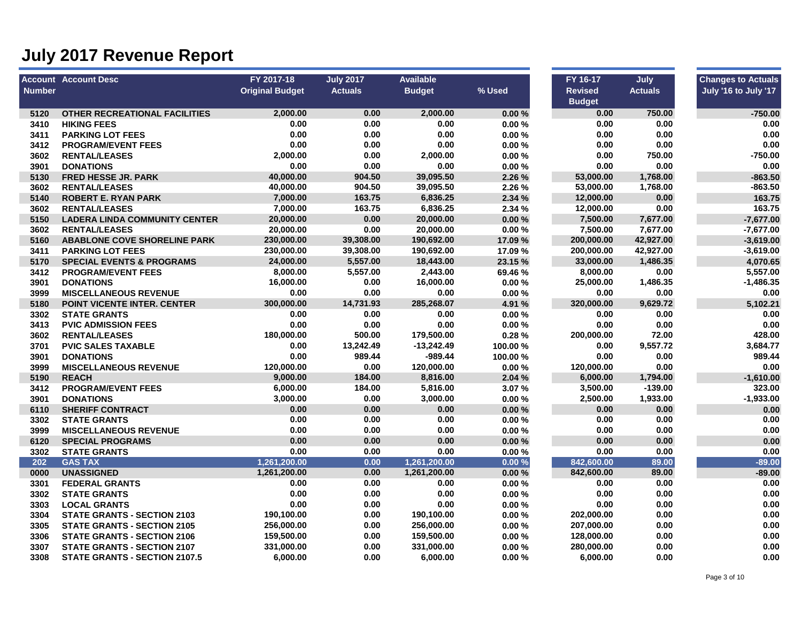|        | <b>Account Account Desc</b>          | FY 2017-18             | <b>July 2017</b> | <b>Available</b> |         | FY 16-17       | July           | <b>Changes to Actuals</b> |
|--------|--------------------------------------|------------------------|------------------|------------------|---------|----------------|----------------|---------------------------|
| Number |                                      | <b>Original Budget</b> | <b>Actuals</b>   | <b>Budget</b>    | % Used  | <b>Revised</b> | <b>Actuals</b> | July '16 to July '17      |
|        |                                      |                        |                  |                  |         | <b>Budget</b>  |                |                           |
| 5120   | <b>OTHER RECREATIONAL FACILITIES</b> | 2.000.00               | 0.00             | 2.000.00         | 0.00%   | 0.00           | 750.00         | $-750.00$                 |
| 3410   | <b>HIKING FEES</b>                   | 0.00                   | 0.00             | 0.00             | 0.00%   | 0.00           | 0.00           | 0.00                      |
| 3411   | <b>PARKING LOT FEES</b>              | 0.00                   | 0.00             | 0.00             | 0.00%   | 0.00           | 0.00           | 0.00                      |
| 3412   | <b>PROGRAM/EVENT FEES</b>            | 0.00                   | 0.00             | 0.00             | 0.00%   | 0.00           | 0.00           | 0.00                      |
| 3602   | <b>RENTAL/LEASES</b>                 | 2,000.00               | 0.00             | 2,000.00         | 0.00%   | 0.00           | 750.00         | $-750.00$                 |
| 3901   | <b>DONATIONS</b>                     | 0.00                   | 0.00             | 0.00             | 0.00%   | 0.00           | 0.00           | 0.00                      |
| 5130   | <b>FRED HESSE JR. PARK</b>           | 40,000.00              | 904.50           | 39,095.50        | 2.26 %  | 53,000.00      | 1,768.00       | $-863.50$                 |
| 3602   | <b>RENTAL/LEASES</b>                 | 40,000.00              | 904.50           | 39,095.50        | 2.26 %  | 53,000.00      | 1,768.00       | $-863.50$                 |
| 5140   | <b>ROBERT E. RYAN PARK</b>           | 7,000.00               | 163.75           | 6,836.25         | 2.34 %  | 12,000.00      | 0.00           | 163.75                    |
| 3602   | <b>RENTAL/LEASES</b>                 | 7,000.00               | 163.75           | 6,836.25         | 2.34 %  | 12,000.00      | 0.00           | 163.75                    |
| 5150   | <b>LADERA LINDA COMMUNITY CENTER</b> | 20,000.00              | 0.00             | 20,000.00        | 0.00%   | 7,500.00       | 7,677.00       | $-7,677.00$               |
| 3602   | <b>RENTAL/LEASES</b>                 | 20,000.00              | 0.00             | 20,000.00        | 0.00%   | 7,500.00       | 7,677.00       | -7,677.00                 |
| 5160   | <b>ABABLONE COVE SHORELINE PARK</b>  | 230,000.00             | 39,308.00        | 190,692.00       | 17.09 % | 200,000.00     | 42,927.00      | $-3,619.00$               |
| 3411   | <b>PARKING LOT FEES</b>              | 230,000.00             | 39,308.00        | 190,692.00       | 17.09%  | 200,000.00     | 42,927.00      | $-3,619.00$               |
| 5170   | <b>SPECIAL EVENTS &amp; PROGRAMS</b> | 24,000.00              | 5,557.00         | 18,443.00        | 23.15 % | 33,000.00      | 1,486.35       | 4,070.65                  |
| 3412   | <b>PROGRAM/EVENT FEES</b>            | 8,000.00               | 5,557.00         | 2,443.00         | 69.46%  | 8,000.00       | 0.00           | 5,557.00                  |
| 3901   | <b>DONATIONS</b>                     | 16,000.00              | 0.00             | 16,000.00        | 0.00%   | 25,000.00      | 1,486.35       | -1,486.35                 |
| 3999   | <b>MISCELLANEOUS REVENUE</b>         | 0.00                   | 0.00             | 0.00             | 0.00%   | 0.00           | 0.00           | 0.00                      |
| 5180   | <b>POINT VICENTE INTER. CENTER</b>   | 300,000.00             | 14,731.93        | 285,268.07       | 4.91 %  | 320,000.00     | 9,629.72       | 5,102.21                  |
| 3302   | <b>STATE GRANTS</b>                  | 0.00                   | 0.00             | 0.00             | 0.00%   | 0.00           | 0.00           | 0.00                      |
| 3413   | <b>PVIC ADMISSION FEES</b>           | 0.00                   | 0.00             | 0.00             | 0.00%   | 0.00           | 0.00           | 0.00                      |
| 3602   | <b>RENTAL/LEASES</b>                 | 180,000.00             | 500.00           | 179,500.00       | 0.28%   | 200,000.00     | 72.00          | 428.00                    |
| 3701   | <b>PVIC SALES TAXABLE</b>            | 0.00                   | 13,242.49        | $-13,242.49$     | 100.00% | 0.00           | 9,557.72       | 3,684.77                  |
| 3901   | <b>DONATIONS</b>                     | 0.00                   | 989.44           | -989.44          | 100.00% | 0.00           | 0.00           | 989.44                    |
| 3999   | <b>MISCELLANEOUS REVENUE</b>         | 120,000.00             | 0.00             | 120,000.00       | 0.00%   | 120,000.00     | 0.00           | 0.00                      |
| 5190   | <b>REACH</b>                         | 9,000.00               | 184.00           | 8,816.00         | 2.04 %  | 6,000.00       | 1,794.00       | $-1,610.00$               |
| 3412   | <b>PROGRAM/EVENT FEES</b>            | 6,000.00               | 184.00           | 5,816.00         | 3.07%   | 3,500.00       | $-139.00$      | 323.00                    |
| 3901   | <b>DONATIONS</b>                     | 3,000.00               | 0.00             | 3,000.00         | 0.00%   | 2,500.00       | 1,933.00       | $-1,933.00$               |
| 6110   | <b>SHERIFF CONTRACT</b>              | 0.00                   | 0.00             | 0.00             | 0.00%   | 0.00           | 0.00           | 0.00                      |
| 3302   | <b>STATE GRANTS</b>                  | 0.00                   | 0.00             | 0.00             | 0.00%   | 0.00           | 0.00           | 0.00                      |
| 3999   | <b>MISCELLANEOUS REVENUE</b>         | 0.00                   | 0.00             | 0.00             | 0.00%   | 0.00           | 0.00           | 0.00                      |
| 6120   | <b>SPECIAL PROGRAMS</b>              | 0.00                   | 0.00             | 0.00             | 0.00%   | 0.00           | 0.00           | 0.00                      |
| 3302   | <b>STATE GRANTS</b>                  | 0.00                   | 0.00             | 0.00             | 0.00%   | 0.00           | 0.00           | 0.00                      |
| 202    | <b>GAS TAX</b>                       | 1,261,200.00           | 0.00             | 1,261,200.00     | 0.00%   | 842,600.00     | 89.00          | $-89.00$                  |
| 0000   | <b>UNASSIGNED</b>                    | 1,261,200.00           | 0.00             | 1,261,200.00     | 0.00%   | 842,600.00     | 89.00          | $-89.00$                  |
| 3301   | <b>FEDERAL GRANTS</b>                | 0.00                   | 0.00             | 0.00             | 0.00%   | 0.00           | 0.00           | 0.00                      |
| 3302   | <b>STATE GRANTS</b>                  | 0.00                   | 0.00             | 0.00             | 0.00%   | 0.00           | 0.00           | 0.00                      |
| 3303   | <b>LOCAL GRANTS</b>                  | 0.00                   | 0.00             | 0.00             | 0.00%   | 0.00           | 0.00           | 0.00                      |
| 3304   | <b>STATE GRANTS - SECTION 2103</b>   | 190,100.00             | 0.00             | 190,100.00       | 0.00%   | 202,000.00     | 0.00           | 0.00                      |
| 3305   | <b>STATE GRANTS - SECTION 2105</b>   | 256,000.00             | 0.00             | 256,000.00       | 0.00%   | 207,000.00     | 0.00           | 0.00                      |
| 3306   | <b>STATE GRANTS - SECTION 2106</b>   | 159,500.00             | 0.00             | 159,500.00       | 0.00%   | 128,000.00     | 0.00           | 0.00                      |
| 3307   | <b>STATE GRANTS - SECTION 2107</b>   | 331,000.00             | 0.00             | 331,000.00       | 0.00%   | 280,000.00     | 0.00           | 0.00                      |
| 3308   | <b>STATE GRANTS - SECTION 2107.5</b> | 6,000.00               | 0.00             | 6,000.00         | 0.00%   | 6,000.00       | 0.00           | 0.00                      |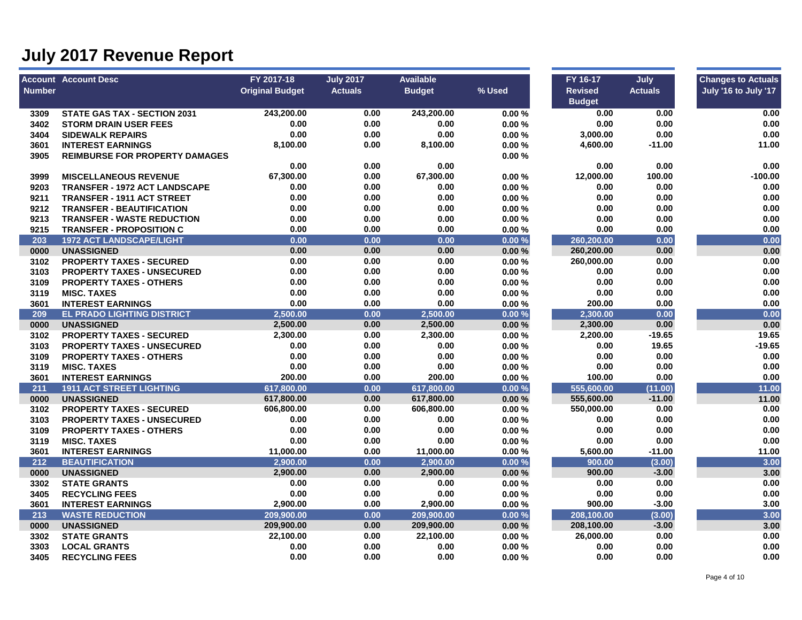|               | <b>Account Account Desc</b>           | FY 2017-18             | <b>July 2017</b> | <b>Available</b> |        | FY 16-17       | July           | <b>Changes to Actuals</b> |
|---------------|---------------------------------------|------------------------|------------------|------------------|--------|----------------|----------------|---------------------------|
| <b>Number</b> |                                       | <b>Original Budget</b> | <b>Actuals</b>   | <b>Budget</b>    | % Used | <b>Revised</b> | <b>Actuals</b> | July '16 to July '17      |
|               |                                       |                        |                  |                  |        | <b>Budget</b>  |                |                           |
| 3309          | <b>STATE GAS TAX - SECTION 2031</b>   | 243,200.00             | 0.00             | 243.200.00       | 0.00%  | 0.00           | 0.00           | 0.00                      |
| 3402          | <b>STORM DRAIN USER FEES</b>          | 0.00                   | 0.00             | 0.00             | 0.00%  | 0.00           | 0.00           | 0.00                      |
| 3404          | <b>SIDEWALK REPAIRS</b>               | 0.00                   | 0.00             | 0.00             | 0.00%  | 3,000.00       | 0.00           | 0.00                      |
| 3601          | <b>INTEREST EARNINGS</b>              | 8,100.00               | 0.00             | 8,100.00         | 0.00%  | 4,600.00       | $-11.00$       | 11.00                     |
| 3905          | <b>REIMBURSE FOR PROPERTY DAMAGES</b> |                        |                  |                  | 0.00%  |                |                |                           |
|               |                                       | 0.00                   | 0.00             | 0.00             |        | 0.00           | 0.00           | 0.00                      |
| 3999          | <b>MISCELLANEOUS REVENUE</b>          | 67,300.00              | 0.00             | 67,300.00        | 0.00%  | 12,000.00      | 100.00         | -100.00                   |
| 9203          | <b>TRANSFER - 1972 ACT LANDSCAPE</b>  | 0.00                   | 0.00             | 0.00             | 0.00%  | 0.00           | 0.00           | 0.00                      |
| 9211          | <b>TRANSFER - 1911 ACT STREET</b>     | 0.00                   | 0.00             | 0.00             | 0.00%  | 0.00           | 0.00           | 0.00                      |
| 9212          | <b>TRANSFER - BEAUTIFICATION</b>      | 0.00                   | 0.00             | 0.00             | 0.00%  | 0.00           | 0.00           | 0.00                      |
| 9213          | <b>TRANSFER - WASTE REDUCTION</b>     | 0.00                   | 0.00             | 0.00             | 0.00%  | 0.00           | 0.00           | 0.00                      |
| 9215          | <b>TRANSFER - PROPOSITION C</b>       | 0.00                   | 0.00             | 0.00             | 0.00%  | 0.00           | 0.00           | 0.00                      |
| 203           | <b>1972 ACT LANDSCAPE/LIGHT</b>       | 0.00                   | 0.00             | 0.00             | 0.00%  | 260,200.00     | 0.00           | 0.00                      |
| 0000          | <b>UNASSIGNED</b>                     | 0.00                   | 0.00             | 0.00             | 0.00%  | 260,200.00     | 0.00           | 0.00                      |
| 3102          | <b>PROPERTY TAXES - SECURED</b>       | 0.00                   | 0.00             | 0.00             | 0.00%  | 260,000.00     | 0.00           | 0.00                      |
| 3103          | <b>PROPERTY TAXES - UNSECURED</b>     | 0.00                   | 0.00             | 0.00             | 0.00%  | 0.00           | 0.00           | 0.00                      |
| 3109          | <b>PROPERTY TAXES - OTHERS</b>        | 0.00                   | 0.00             | 0.00             | 0.00%  | 0.00           | 0.00           | 0.00                      |
| 3119          | <b>MISC. TAXES</b>                    | 0.00                   | 0.00             | 0.00             | 0.00%  | 0.00           | 0.00           | 0.00                      |
| 3601          | <b>INTEREST EARNINGS</b>              | 0.00                   | 0.00             | 0.00             | 0.00%  | 200.00         | 0.00           | 0.00                      |
| 209           | <b>EL PRADO LIGHTING DISTRICT</b>     | 2,500.00               | 0.00             | 2,500.00         | 0.00%  | 2,300.00       | 0.00           | 0.00                      |
| 0000          | <b>UNASSIGNED</b>                     | 2,500.00               | 0.00             | 2,500.00         | 0.00%  | 2,300.00       | 0.00           | 0.00                      |
| 3102          | <b>PROPERTY TAXES - SECURED</b>       | 2,300.00               | 0.00             | 2,300.00         | 0.00%  | 2,200.00       | $-19.65$       | 19.65                     |
| 3103          | <b>PROPERTY TAXES - UNSECURED</b>     | 0.00                   | 0.00             | 0.00             | 0.00%  | 0.00           | 19.65          | $-19.65$                  |
| 3109          | <b>PROPERTY TAXES - OTHERS</b>        | 0.00                   | 0.00             | 0.00             | 0.00%  | 0.00           | 0.00           | $0.00\,$                  |
| 3119          | <b>MISC. TAXES</b>                    | 0.00                   | 0.00             | 0.00             | 0.00%  | 0.00           | 0.00           | 0.00                      |
| 3601          | <b>INTEREST EARNINGS</b>              | 200.00                 | 0.00             | 200.00           | 0.00%  | 100.00         | 0.00           | 0.00                      |
| 211           | <b>1911 ACT STREET LIGHTING</b>       | 617,800.00             | 0.00             | 617,800.00       | 0.00%  | 555,600.00     | (11.00)        | 11.00                     |
| 0000          | <b>UNASSIGNED</b>                     | 617,800.00             | 0.00             | 617,800.00       | 0.00%  | 555,600.00     | $-11.00$       | 11.00                     |
| 3102          | <b>PROPERTY TAXES - SECURED</b>       | 606,800.00             | 0.00             | 606,800.00       | 0.00%  | 550,000.00     | 0.00           | 0.00                      |
| 3103          | <b>PROPERTY TAXES - UNSECURED</b>     | 0.00                   | 0.00             | 0.00             | 0.00%  | 0.00           | 0.00           | 0.00                      |
| 3109          | <b>PROPERTY TAXES - OTHERS</b>        | 0.00                   | 0.00             | 0.00             | 0.00%  | 0.00           | 0.00           | 0.00                      |
| 3119          | <b>MISC. TAXES</b>                    | 0.00                   | 0.00             | 0.00             | 0.00%  | 0.00           | 0.00           | 0.00                      |
| 3601          | <b>INTEREST EARNINGS</b>              | 11,000.00              | 0.00             | 11,000.00        | 0.00%  | 5,600.00       | $-11.00$       | 11.00                     |
| 212           | <b>BEAUTIFICATION</b>                 | 2,900.00               | 0.00             | 2.900.00         | 0.00%  | 900.00         | (3.00)         | 3.00                      |
| 0000          | <b>UNASSIGNED</b>                     | 2,900.00               | 0.00             | 2,900.00         | 0.00%  | 900.00         | $-3.00$        | 3.00                      |
| 3302          | <b>STATE GRANTS</b>                   | 0.00                   | 0.00             | 0.00             | 0.00%  | 0.00           | 0.00           | 0.00                      |
| 3405          | <b>RECYCLING FEES</b>                 | 0.00                   | 0.00             | 0.00             | 0.00%  | 0.00           | 0.00           | 0.00                      |
| 3601          | <b>INTEREST EARNINGS</b>              | 2,900.00               | 0.00             | 2,900.00         | 0.00%  | 900.00         | $-3.00$        | 3.00                      |
| 213           | <b>WASTE REDUCTION</b>                | 209.900.00             | 0.00             | 209,900.00       | 0.00%  | 208,100.00     | (3.00)         | 3.00                      |
| 0000          | <b>UNASSIGNED</b>                     | 209,900.00             | 0.00             | 209,900.00       | 0.00%  | 208,100.00     | $-3.00$        | 3.00                      |
| 3302          | <b>STATE GRANTS</b>                   | 22,100.00              | 0.00             | 22,100.00        | 0.00%  | 26,000.00      | 0.00           | 0.00                      |
| 3303          | <b>LOCAL GRANTS</b>                   | 0.00                   | 0.00             | 0.00             | 0.00%  | 0.00           | 0.00           | 0.00                      |
| 3405          | <b>RECYCLING FEES</b>                 | 0.00                   | 0.00             | 0.00             | 0.00%  | 0.00           | 0.00           | 0.00                      |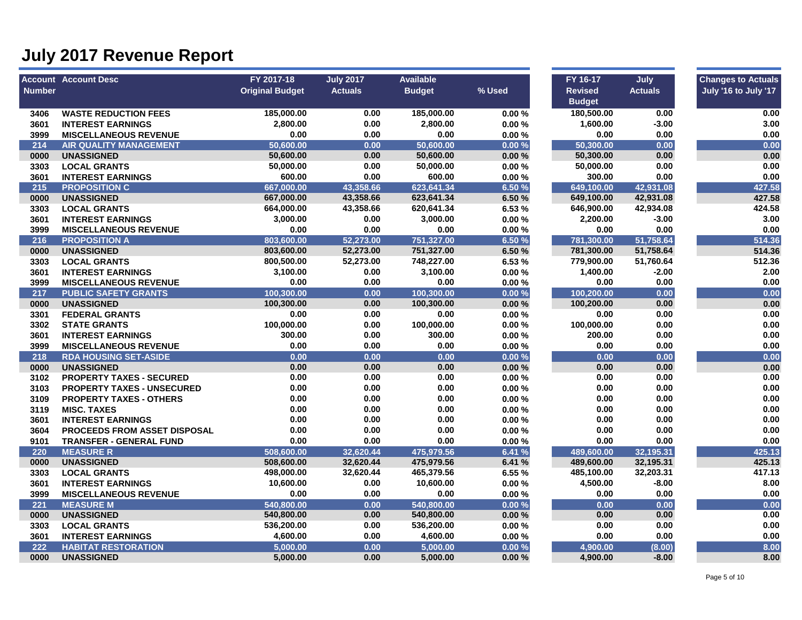|               | <b>Account Account Desc</b>         | FY 2017-18             | <b>July 2017</b> | <b>Available</b> |        | FY 16-17       | July           | <b>Changes to Actuals</b> |
|---------------|-------------------------------------|------------------------|------------------|------------------|--------|----------------|----------------|---------------------------|
| <b>Number</b> |                                     | <b>Original Budget</b> | <b>Actuals</b>   | <b>Budget</b>    | % Used | <b>Revised</b> | <b>Actuals</b> | July '16 to July '17      |
|               |                                     |                        |                  |                  |        | <b>Budget</b>  |                |                           |
| 3406          | <b>WASTE REDUCTION FEES</b>         | 185,000.00             | 0.00             | 185,000.00       | 0.00%  | 180,500.00     | 0.00           | 0.00                      |
| 3601          | <b>INTEREST EARNINGS</b>            | 2,800.00               | 0.00             | 2,800.00         | 0.00%  | 1,600.00       | $-3.00$        | 3.00                      |
| 3999          | <b>MISCELLANEOUS REVENUE</b>        | 0.00                   | 0.00             | 0.00             | 0.00%  | 0.00           | 0.00           | 0.00                      |
| 214           | <b>AIR QUALITY MANAGEMENT</b>       | 50,600.00              | 0.00             | 50,600.00        | 0.00%  | 50,300.00      | 0.00           | 0.00                      |
| 0000          | <b>UNASSIGNED</b>                   | 50,600.00              | 0.00             | 50,600.00        | 0.00%  | 50,300.00      | 0.00           | 0.00                      |
| 3303          | <b>LOCAL GRANTS</b>                 | 50,000.00              | 0.00             | 50,000.00        | 0.00%  | 50,000.00      | 0.00           | 0.00                      |
| 3601          | <b>INTEREST EARNINGS</b>            | 600.00                 | 0.00             | 600.00           | 0.00%  | 300.00         | 0.00           | 0.00                      |
| 215           | <b>PROPOSITION C</b>                | 667.000.00             | 43,358.66        | 623,641.34       | 6.50 % | 649.100.00     | 42,931.08      | 427.58                    |
| 0000          | <b>UNASSIGNED</b>                   | 667,000.00             | 43,358.66        | 623,641.34       | 6.50 % | 649,100.00     | 42,931.08      | 427.58                    |
| 3303          | <b>LOCAL GRANTS</b>                 | 664,000.00             | 43,358.66        | 620,641.34       | 6.53 % | 646,900.00     | 42,934.08      | 424.58                    |
| 3601          | <b>INTEREST EARNINGS</b>            | 3,000.00               | 0.00             | 3,000.00         | 0.00%  | 2,200.00       | $-3.00$        | 3.00                      |
| 3999          | <b>MISCELLANEOUS REVENUE</b>        | 0.00                   | 0.00             | 0.00             | 0.00%  | 0.00           | 0.00           | 0.00                      |
| 216           | <b>PROPOSITION A</b>                | 803,600.00             | 52,273.00        | 751,327.00       | 6.50 % | 781,300.00     | 51,758.64      | 514.36                    |
| 0000          | <b>UNASSIGNED</b>                   | 803,600.00             | 52,273.00        | 751,327.00       | 6.50 % | 781,300.00     | 51,758.64      | 514.36                    |
| 3303          | <b>LOCAL GRANTS</b>                 | 800,500.00             | 52,273.00        | 748,227.00       | 6.53 % | 779,900.00     | 51,760.64      | 512.36                    |
| 3601          | <b>INTEREST EARNINGS</b>            | 3,100.00               | 0.00             | 3,100.00         | 0.00%  | 1,400.00       | $-2.00$        | 2.00                      |
| 3999          | <b>MISCELLANEOUS REVENUE</b>        | 0.00                   | 0.00             | 0.00             | 0.00%  | 0.00           | 0.00           | 0.00                      |
| 217           | <b>PUBLIC SAFETY GRANTS</b>         | 100,300.00             | 0.00             | 100,300.00       | 0.00%  | 100,200.00     | 0.00           | 0.00                      |
| 0000          | <b>UNASSIGNED</b>                   | 100,300.00             | 0.00             | 100,300.00       | 0.00%  | 100,200.00     | 0.00           | 0.00                      |
| 3301          | <b>FEDERAL GRANTS</b>               | 0.00                   | 0.00             | 0.00             | 0.00%  | 0.00           | 0.00           | 0.00                      |
| 3302          | <b>STATE GRANTS</b>                 | 100,000.00             | 0.00             | 100,000.00       | 0.00%  | 100,000.00     | 0.00           | 0.00                      |
| 3601          | <b>INTEREST EARNINGS</b>            | 300.00                 | 0.00             | 300.00           | 0.00%  | 200.00         | 0.00           | 0.00                      |
| 3999          | <b>MISCELLANEOUS REVENUE</b>        | 0.00                   | 0.00             | 0.00             | 0.00%  | 0.00           | $0.00\,$       | 0.00                      |
| 218           | <b>RDA HOUSING SET-ASIDE</b>        | 0.00                   | 0.00             | 0.00             | 0.00%  | 0.00           | 0.00           | 0.00                      |
| 0000          | <b>UNASSIGNED</b>                   | 0.00                   | 0.00             | 0.00             | 0.00%  | 0.00           | 0.00           | 0.00                      |
| 3102          | <b>PROPERTY TAXES - SECURED</b>     | 0.00                   | 0.00             | 0.00             | 0.00%  | 0.00           | 0.00           | 0.00                      |
| 3103          | <b>PROPERTY TAXES - UNSECURED</b>   | 0.00                   | 0.00             | 0.00             | 0.00%  | 0.00           | 0.00           | 0.00                      |
| 3109          | <b>PROPERTY TAXES - OTHERS</b>      | 0.00                   | 0.00             | 0.00             | 0.00%  | 0.00           | 0.00           | 0.00                      |
| 3119          | <b>MISC. TAXES</b>                  | 0.00                   | 0.00             | 0.00             | 0.00%  | 0.00           | 0.00           | 0.00                      |
| 3601          | <b>INTEREST EARNINGS</b>            | 0.00                   | 0.00             | 0.00             | 0.00%  | 0.00           | $0.00\,$       | 0.00                      |
| 3604          | <b>PROCEEDS FROM ASSET DISPOSAL</b> | 0.00                   | 0.00             | 0.00             | 0.00%  | 0.00           | 0.00           | 0.00                      |
| 9101          | <b>TRANSFER - GENERAL FUND</b>      | 0.00                   | 0.00             | 0.00             | 0.00%  | 0.00           | 0.00           | 0.00                      |
| 220           | <b>MEASURE R</b>                    | 508,600.00             | 32.620.44        | 475,979.56       | 6.41 % | 489.600.00     | 32,195.31      | 425.13                    |
| 0000          | <b>UNASSIGNED</b>                   | 508,600.00             | 32,620.44        | 475,979.56       | 6.41 % | 489,600.00     | 32,195.31      | 425.13                    |
| 3303          | <b>LOCAL GRANTS</b>                 | 498,000.00             | 32,620.44        | 465,379.56       | 6.55 % | 485,100.00     | 32,203.31      | 417.13                    |
| 3601          | <b>INTEREST EARNINGS</b>            | 10,600.00              | 0.00             | 10,600.00        | 0.00%  | 4,500.00       | $-8.00$        | 8.00                      |
| 3999          | <b>MISCELLANEOUS REVENUE</b>        | 0.00                   | 0.00             | 0.00             | 0.00%  | 0.00           | 0.00           | 0.00                      |
| 221           | <b>MEASURE M</b>                    | 540.800.00             | 0.00             | 540,800.00       | 0.00%  | 0.00           | 0.00           | 0.00                      |
| 0000          | <b>UNASSIGNED</b>                   | 540,800.00             | 0.00             | 540,800.00       | 0.00%  | 0.00           | 0.00           | 0.00                      |
| 3303          | <b>LOCAL GRANTS</b>                 | 536,200.00             | 0.00             | 536,200.00       | 0.00%  | 0.00           | 0.00           | 0.00                      |
| 3601          | <b>INTEREST EARNINGS</b>            | 4,600.00               | 0.00             | 4,600.00         | 0.00%  | 0.00           | 0.00           | 0.00                      |
| 222           | <b>HABITAT RESTORATION</b>          | 5,000.00               | 0.00             | 5,000.00         | 0.00%  | 4,900.00       | (8.00)         | 8.00                      |
| 0000          | <b>UNASSIGNED</b>                   | 5,000.00               | 0.00             | 5,000.00         | 0.00%  | 4,900.00       | $-8.00$        | 8.00                      |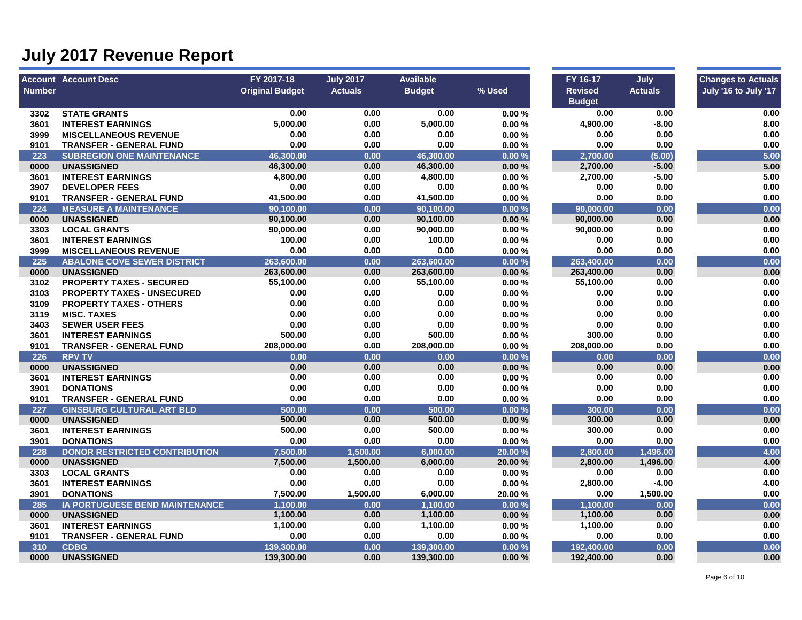|               | <b>Account Account Desc</b>                   | FY 2017-18             | <b>July 2017</b> | <b>Available</b> |                | FY 16-17       | July           | <b>Changes to Actuals</b> |
|---------------|-----------------------------------------------|------------------------|------------------|------------------|----------------|----------------|----------------|---------------------------|
| <b>Number</b> |                                               | <b>Original Budget</b> | <b>Actuals</b>   | <b>Budget</b>    | % Used         | <b>Revised</b> | <b>Actuals</b> | July '16 to July '17      |
|               |                                               |                        |                  |                  |                | <b>Budget</b>  |                |                           |
| 3302          | <b>STATE GRANTS</b>                           | 0.00                   | 0.00             | 0.00             | 0.00%          | 0.00           | 0.00           | 0.00                      |
| 3601          | <b>INTEREST EARNINGS</b>                      | 5,000.00               | 0.00             | 5,000.00         | 0.00%          | 4,900.00       | $-8.00$        | 8.00                      |
| 3999          | <b>MISCELLANEOUS REVENUE</b>                  | 0.00                   | 0.00             | 0.00             | 0.00%          | 0.00           | 0.00           | 0.00                      |
| 9101          | <b>TRANSFER - GENERAL FUND</b>                | 0.00                   | 0.00             | 0.00             | 0.00%          | 0.00           | 0.00           | 0.00                      |
| 223           | <b>SUBREGION ONE MAINTENANCE</b>              | 46,300.00              | 0.00             | 46,300.00        | 0.00%          | 2,700.00       | (5.00)         | 5.00                      |
| 0000          | <b>UNASSIGNED</b>                             | 46,300.00              | 0.00             | 46,300.00        | 0.00%          | 2,700.00       | $-5.00$        | 5.00                      |
| 3601          | <b>INTEREST EARNINGS</b>                      | 4,800.00               | 0.00             | 4,800.00         | 0.00%          | 2,700.00       | $-5.00$        | 5.00                      |
| 3907          | <b>DEVELOPER FEES</b>                         | 0.00                   | 0.00             | 0.00             | 0.00%          | 0.00           | 0.00           | 0.00                      |
| 9101          | <b>TRANSFER - GENERAL FUND</b>                | 41,500.00              | 0.00             | 41,500.00        | 0.00%          | 0.00           | 0.00           | 0.00                      |
| 224           | <b>MEASURE A MAINTENANCE</b>                  | 90,100.00              | 0.00             | 90,100.00        | 0.00%          | 90,000.00      | 0.00           | 0.00                      |
| 0000          | <b>UNASSIGNED</b>                             | 90,100.00              | 0.00             | 90,100.00        | 0.00%          | 90,000.00      | 0.00           | 0.00                      |
| 3303          | <b>LOCAL GRANTS</b>                           | 90,000.00              | 0.00             | 90,000.00        | 0.00%          | 90,000.00      | 0.00           | 0.00                      |
| 3601          | <b>INTEREST EARNINGS</b>                      | 100.00                 | 0.00             | 100.00           | 0.00%          | 0.00           | 0.00           | 0.00                      |
| 3999          | <b>MISCELLANEOUS REVENUE</b>                  | 0.00                   | 0.00             | 0.00             | 0.00%          | 0.00           | 0.00           | 0.00                      |
| 225           | <b>ABALONE COVE SEWER DISTRICT</b>            | 263,600.00             | 0.00             | 263,600.00       | 0.00%          | 263,400.00     | 0.00           | 0.00                      |
| 0000          | <b>UNASSIGNED</b>                             | 263,600.00             | 0.00             | 263,600.00       | 0.00%          | 263,400.00     | 0.00           | 0.00                      |
| 3102          | <b>PROPERTY TAXES - SECURED</b>               | 55,100.00              | 0.00             | 55,100.00        | 0.00%          | 55,100.00      | 0.00           | 0.00                      |
| 3103          | <b>PROPERTY TAXES - UNSECURED</b>             | 0.00                   | 0.00             | 0.00             | 0.00%          | 0.00           | 0.00           | 0.00                      |
| 3109          | <b>PROPERTY TAXES - OTHERS</b>                | 0.00                   | 0.00             | 0.00             | 0.00%          | 0.00           | 0.00           | 0.00                      |
| 3119          | <b>MISC. TAXES</b>                            | 0.00                   | 0.00             | 0.00             | 0.00%          | 0.00           | 0.00           | 0.00                      |
| 3403          | <b>SEWER USER FEES</b>                        | 0.00                   | 0.00             | 0.00             | 0.00%          | 0.00           | 0.00           | 0.00                      |
| 3601          | <b>INTEREST EARNINGS</b>                      | 500.00                 | 0.00             | 500.00           | 0.00%          | 300.00         | 0.00           | 0.00                      |
| 9101          | <b>TRANSFER - GENERAL FUND</b>                | 208,000.00             | 0.00             | 208,000.00       | 0.00%          | 208,000.00     | 0.00           | 0.00                      |
| 226           | <b>RPV TV</b>                                 | 0.00                   | 0.00             | 0.00             | 0.00%          | 0.00           | 0.00           | 0.00                      |
| 0000          | <b>UNASSIGNED</b>                             | 0.00                   | 0.00             | 0.00             | 0.00%          | 0.00           | 0.00           | 0.00                      |
| 3601          | <b>INTEREST EARNINGS</b>                      | 0.00                   | 0.00             | 0.00             | 0.00%          | 0.00           | 0.00           | 0.00                      |
| 3901          | <b>DONATIONS</b>                              | 0.00                   | 0.00             | 0.00             | 0.00%          | 0.00           | 0.00           | 0.00                      |
| 9101          | <b>TRANSFER - GENERAL FUND</b>                | 0.00                   | 0.00             | 0.00             | 0.00%          | 0.00           | 0.00           | 0.00                      |
| 227           | <b>GINSBURG CULTURAL ART BLD</b>              | 500.00                 | 0.00             | 500.00           | 0.00%          | 300.00         | 0.00           | 0.00                      |
| 0000          | <b>UNASSIGNED</b>                             | 500.00                 | 0.00             | 500.00           | 0.00%          | 300.00         | 0.00           | 0.00                      |
| 3601          | <b>INTEREST EARNINGS</b>                      | 500.00                 | 0.00             | 500.00           | 0.00%          | 300.00         | 0.00           | 0.00                      |
| 3901          | <b>DONATIONS</b>                              | 0.00                   | 0.00             | 0.00             | 0.00%          | 0.00           | 0.00           | 0.00                      |
| 228           | <b>DONOR RESTRICTED CONTRIBUTION</b>          | 7,500.00               | 1,500.00         | 6,000.00         | 20.00 %        | 2,800.00       | 1,496.00       | 4.00                      |
| 0000          | <b>UNASSIGNED</b>                             | 7.500.00               | 1,500.00         | 6,000.00         | 20.00 %        | 2.800.00       | 1,496.00       | 4.00                      |
| 3303          | <b>LOCAL GRANTS</b>                           | 0.00                   | 0.00             | 0.00             | 0.00%          | 0.00           | 0.00           | 0.00                      |
| 3601          | <b>INTEREST EARNINGS</b>                      | 0.00                   | 0.00             | 0.00             | 0.00%          | 2,800.00       | $-4.00$        | 4.00                      |
| 3901          | <b>DONATIONS</b>                              | 7,500.00               | 1,500.00         | 6,000.00         | 20.00 %        | 0.00           | 1,500.00       | 0.00                      |
| 285           | IA PORTUGUESE BEND MAINTENANCE                | 1.100.00               | 0.00             | 1.100.00         | 0.00%          | 1.100.00       | 0.00           | 0.00                      |
| 0000          | <b>UNASSIGNED</b>                             | 1,100.00               | 0.00             | 1,100.00         | 0.00%          | 1,100.00       | 0.00           | 0.00                      |
|               |                                               | 1,100.00               | 0.00             | 1,100.00         | 0.00%          | 1,100.00       | 0.00           | 0.00                      |
| 3601          | <b>INTEREST EARNINGS</b>                      |                        |                  |                  |                |                |                |                           |
|               |                                               | 0.00                   | 0.00             | 0.00             |                | 0.00           | 0.00           |                           |
| 9101<br>310   | <b>TRANSFER - GENERAL FUND</b><br><b>CDBG</b> | 139,300.00             | 0.00             | 139,300.00       | 0.00%<br>0.00% | 192,400.00     | 0.00           | $0.00\,$<br>0.00          |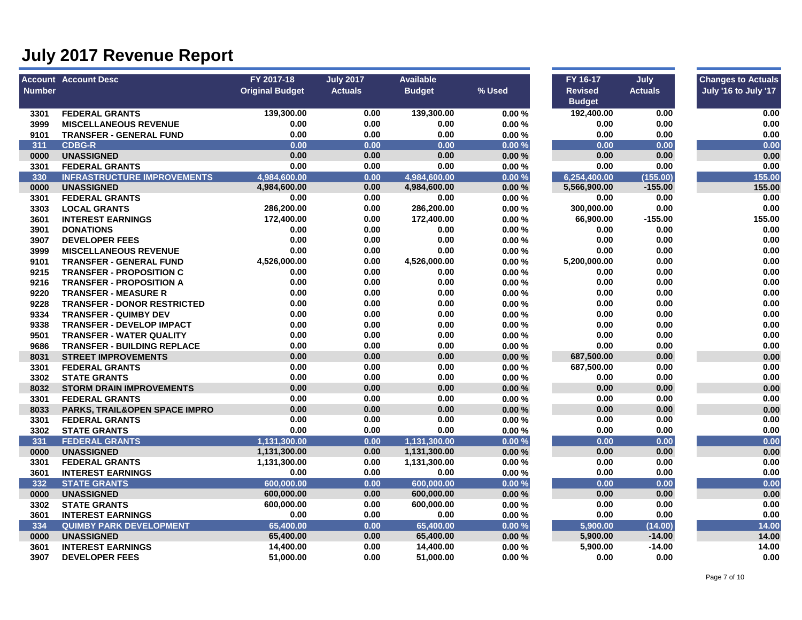|               | <b>Account Account Desc</b>                                 | FY 2017-18             | <b>July 2017</b> | <b>Available</b> |                | FY 16-17       | July           | <b>Changes to Actuals</b> |
|---------------|-------------------------------------------------------------|------------------------|------------------|------------------|----------------|----------------|----------------|---------------------------|
| <b>Number</b> |                                                             | <b>Original Budget</b> | <b>Actuals</b>   | <b>Budget</b>    | % Used         | <b>Revised</b> | <b>Actuals</b> | July '16 to July '17      |
|               |                                                             |                        |                  |                  |                | <b>Budget</b>  |                |                           |
| 3301          | <b>FEDERAL GRANTS</b>                                       | 139,300.00             | 0.00             | 139,300.00       | 0.00%          | 192,400.00     | 0.00           | 0.00                      |
| 3999          | <b>MISCELLANEOUS REVENUE</b>                                | 0.00                   | 0.00             | 0.00             | 0.00%          | 0.00           | 0.00           | 0.00                      |
| 9101          | <b>TRANSFER - GENERAL FUND</b>                              | 0.00<br>0.00           | 0.00             | 0.00             | 0.00%          | 0.00           | 0.00           | 0.00<br>0.00              |
| 311           | <b>CDBG-R</b><br><b>UNASSIGNED</b>                          | 0.00                   | 0.00             | 0.00<br>0.00     | 0.00%          | 0.00<br>0.00   | 0.00<br>0.00   | 0.00                      |
| 0000          |                                                             | 0.00                   | 0.00<br>0.00     | 0.00             | 0.00%          | 0.00           | 0.00           | 0.00                      |
| 3301          | <b>FEDERAL GRANTS</b><br><b>INFRASTRUCTURE IMPROVEMENTS</b> | 4,984,600.00           | 0.00             | 4,984,600.00     | 0.00%          | 6,254,400.00   | (155.00)       | 155.00                    |
| 330<br>0000   | <b>UNASSIGNED</b>                                           | 4,984,600.00           | 0.00             | 4,984,600.00     | 0.00%<br>0.00% | 5,566,900.00   | $-155.00$      | 155.00                    |
| 3301          | <b>FEDERAL GRANTS</b>                                       | 0.00                   | 0.00             | 0.00             | 0.00%          | 0.00           | 0.00           | 0.00                      |
| 3303          | <b>LOCAL GRANTS</b>                                         | 286,200.00             | 0.00             | 286,200.00       | 0.00%          | 300,000.00     | 0.00           | 0.00                      |
| 3601          | <b>INTEREST EARNINGS</b>                                    | 172,400.00             | 0.00             | 172,400.00       | 0.00%          | 66,900.00      | $-155.00$      | 155.00                    |
| 3901          | <b>DONATIONS</b>                                            | 0.00                   | 0.00             | 0.00             | 0.00%          | 0.00           | 0.00           | 0.00                      |
| 3907          | <b>DEVELOPER FEES</b>                                       | 0.00                   | 0.00             | 0.00             | 0.00%          | 0.00           | 0.00           | 0.00                      |
| 3999          | <b>MISCELLANEOUS REVENUE</b>                                | 0.00                   | 0.00             | 0.00             | 0.00%          | 0.00           | 0.00           | 0.00                      |
| 9101          | <b>TRANSFER - GENERAL FUND</b>                              | 4,526,000.00           | 0.00             | 4,526,000.00     | 0.00%          | 5,200,000.00   | 0.00           | 0.00                      |
| 9215          | <b>TRANSFER - PROPOSITION C</b>                             | 0.00                   | 0.00             | 0.00             | 0.00%          | 0.00           | 0.00           | 0.00                      |
| 9216          | <b>TRANSFER - PROPOSITION A</b>                             | 0.00                   | 0.00             | 0.00             | 0.00%          | 0.00           | 0.00           | 0.00                      |
| 9220          | <b>TRANSFER - MEASURE R</b>                                 | 0.00                   | 0.00             | 0.00             | 0.00%          | 0.00           | 0.00           | 0.00                      |
| 9228          | <b>TRANSFER - DONOR RESTRICTED</b>                          | 0.00                   | 0.00             | 0.00             | 0.00%          | 0.00           | 0.00           | 0.00                      |
| 9334          | <b>TRANSFER - QUIMBY DEV</b>                                | 0.00                   | 0.00             | 0.00             | 0.00%          | 0.00           | 0.00           | 0.00                      |
| 9338          | <b>TRANSFER - DEVELOP IMPACT</b>                            | 0.00                   | 0.00             | 0.00             | 0.00%          | 0.00           | 0.00           | 0.00                      |
| 9501          | <b>TRANSFER - WATER QUALITY</b>                             | 0.00                   | 0.00             | 0.00             | 0.00%          | 0.00           | 0.00           | 0.00                      |
| 9686          | <b>TRANSFER - BUILDING REPLACE</b>                          | 0.00                   | 0.00             | 0.00             | 0.00%          | 0.00           | 0.00           | 0.00                      |
| 8031          | <b>STREET IMPROVEMENTS</b>                                  | 0.00                   | 0.00             | 0.00             | 0.00%          | 687,500.00     | 0.00           | 0.00                      |
| 3301          | <b>FEDERAL GRANTS</b>                                       | 0.00                   | 0.00             | 0.00             | 0.00%          | 687,500.00     | 0.00           | 0.00                      |
| 3302          | <b>STATE GRANTS</b>                                         | 0.00                   | 0.00             | 0.00             | 0.00%          | 0.00           | 0.00           | 0.00                      |
| 8032          | <b>STORM DRAIN IMPROVEMENTS</b>                             | 0.00                   | 0.00             | 0.00             | $0.00 \%$      | 0.00           | 0.00           | 0.00                      |
| 3301          | <b>FEDERAL GRANTS</b>                                       | 0.00                   | 0.00             | 0.00             | 0.00%          | 0.00           | 0.00           | 0.00                      |
| 8033          | PARKS, TRAIL&OPEN SPACE IMPRO                               | 0.00                   | 0.00             | 0.00             | 0.00%          | 0.00           | 0.00           | 0.00                      |
| 3301          | <b>FEDERAL GRANTS</b>                                       | 0.00                   | 0.00             | 0.00             | 0.00%          | 0.00           | 0.00           | 0.00                      |
| 3302          | <b>STATE GRANTS</b>                                         | 0.00                   | 0.00             | 0.00             | 0.00%          | 0.00           | 0.00           | 0.00                      |
| 331           | <b>FEDERAL GRANTS</b>                                       | 1,131,300.00           | 0.00             | 1,131,300.00     | 0.00%          | 0.00           | 0.00           | 0.00                      |
| 0000          | <b>UNASSIGNED</b>                                           | 1,131,300.00           | 0.00             | 1,131,300.00     | 0.00%          | 0.00           | 0.00           | 0.00                      |
| 3301          | <b>FEDERAL GRANTS</b>                                       | 1,131,300.00           | 0.00             | 1,131,300.00     | 0.00%          | 0.00           | 0.00           | 0.00                      |
| 3601          | <b>INTEREST EARNINGS</b>                                    | 0.00                   | 0.00             | 0.00             | 0.00%          | 0.00           | 0.00           | 0.00                      |
| 332           | <b>STATE GRANTS</b>                                         | 600,000.00             | 0.00             | 600,000.00       | 0.00%          | 0.00           | 0.00           | 0.00                      |
| 0000          | <b>UNASSIGNED</b>                                           | 600,000.00             | 0.00             | 600,000.00       | 0.00%          | 0.00           | 0.00           | 0.00                      |
| 3302          | <b>STATE GRANTS</b>                                         | 600,000.00             | 0.00             | 600,000.00       | 0.00%          | 0.00           | 0.00           | 0.00                      |
| 3601          | <b>INTEREST EARNINGS</b>                                    | 0.00                   | 0.00             | 0.00             | 0.00%          | 0.00           | 0.00           | 0.00                      |
| 334           | <b>QUIMBY PARK DEVELOPMENT</b>                              | 65,400.00              | 0.00             | 65,400.00        | 0.00%          | 5,900.00       | (14.00)        | 14.00                     |
| 0000          | <b>UNASSIGNED</b>                                           | 65,400.00              | 0.00             | 65,400.00        | 0.00%          | 5,900.00       | $-14.00$       | 14.00                     |
| 3601          | <b>INTEREST EARNINGS</b>                                    | 14,400.00              | 0.00             | 14,400.00        | 0.00%          | 5,900.00       | $-14.00$       | 14.00                     |
| 3907          | <b>DEVELOPER FEES</b>                                       | 51,000.00              | 0.00             | 51,000.00        | 0.00%          | 0.00           | 0.00           | 0.00                      |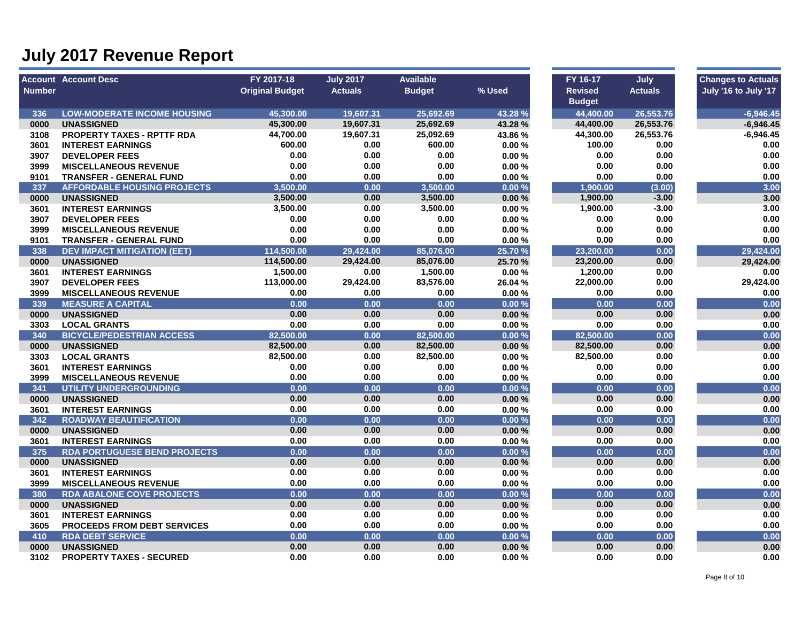|               | <b>Account Account Desc</b>         | FY 2017-18             | <b>July 2017</b> | <b>Available</b> |         | FY 16-17       | July           | <b>Changes to Actuals</b> |
|---------------|-------------------------------------|------------------------|------------------|------------------|---------|----------------|----------------|---------------------------|
| <b>Number</b> |                                     | <b>Original Budget</b> | <b>Actuals</b>   | <b>Budget</b>    | % Used  | <b>Revised</b> | <b>Actuals</b> | July '16 to July '17      |
|               |                                     |                        |                  |                  |         | <b>Budget</b>  |                |                           |
| 336           | <b>LOW-MODERATE INCOME HOUSING</b>  | 45.300.00              | 19,607.31        | 25.692.69        | 43.28 % | 44.400.00      | 26,553.76      | $-6,946.45$               |
| 0000          | <b>UNASSIGNED</b>                   | 45,300.00              | 19,607.31        | 25,692.69        | 43.28%  | 44,400.00      | 26,553.76      | $-6.946.45$               |
| 3108          | <b>PROPERTY TAXES - RPTTF RDA</b>   | 44,700.00              | 19,607.31        | 25,092.69        | 43.86 % | 44,300.00      | 26,553.76      | $-6,946.45$               |
| 3601          | <b>INTEREST EARNINGS</b>            | 600.00                 | 0.00             | 600.00           | 0.00%   | 100.00         | 0.00           | 0.00                      |
| 3907          | <b>DEVELOPER FEES</b>               | 0.00                   | 0.00             | 0.00             | 0.00%   | 0.00           | 0.00           | 0.00                      |
| 3999          | <b>MISCELLANEOUS REVENUE</b>        | 0.00                   | 0.00             | 0.00             | 0.00%   | 0.00           | 0.00           | 0.00                      |
| 9101          | <b>TRANSFER - GENERAL FUND</b>      | 0.00                   | 0.00             | 0.00             | 0.00%   | 0.00           | 0.00           | 0.00                      |
| 337           | <b>AFFORDABLE HOUSING PROJECTS</b>  | 3,500.00               | 0.00             | 3,500.00         | 0.00%   | 1,900.00       | (3.00)         | 3.00                      |
| 0000          | <b>UNASSIGNED</b>                   | 3,500.00               | 0.00             | 3,500.00         | 0.00%   | 1,900.00       | $-3.00$        | 3.00                      |
| 3601          | <b>INTEREST EARNINGS</b>            | 3,500.00               | 0.00             | 3,500.00         | 0.00%   | 1,900.00       | $-3.00$        | 3.00                      |
| 3907          | <b>DEVELOPER FEES</b>               | 0.00                   | 0.00             | 0.00             | 0.00%   | 0.00           | 0.00           | 0.00                      |
| 3999          | <b>MISCELLANEOUS REVENUE</b>        | 0.00                   | 0.00             | 0.00             | 0.00%   | 0.00           | 0.00           | 0.00                      |
| 9101          | <b>TRANSFER - GENERAL FUND</b>      | 0.00                   | 0.00             | 0.00             | 0.00%   | 0.00           | 0.00           | 0.00                      |
| 338           | <b>DEV IMPACT MITIGATION (EET)</b>  | 114,500.00             | 29.424.00        | 85.076.00        | 25.70 % | 23,200.00      | 0.00           | 29,424.00                 |
| 0000          | <b>UNASSIGNED</b>                   | 114,500.00             | 29,424.00        | 85,076.00        | 25.70 % | 23,200.00      | 0.00           | 29,424.00                 |
| 3601          | <b>INTEREST EARNINGS</b>            | 1,500.00               | 0.00             | 1,500.00         | 0.00%   | 1,200.00       | 0.00           | 0.00                      |
| 3907          | <b>DEVELOPER FEES</b>               | 113,000.00             | 29,424.00        | 83,576.00        | 26.04 % | 22,000.00      | 0.00           | 29,424.00                 |
| 3999          | <b>MISCELLANEOUS REVENUE</b>        | 0.00                   | 0.00             | 0.00             | 0.00%   | 0.00           | 0.00           | 0.00                      |
| 339           | <b>MEASURE A CAPITAL</b>            | 0.00                   | 0.00             | 0.00             | 0.00%   | 0.00           | 0.00           | 0.00                      |
| 0000          | <b>UNASSIGNED</b>                   | 0.00                   | 0.00             | 0.00             | 0.00%   | 0.00           | 0.00           | 0.00                      |
| 3303          | <b>LOCAL GRANTS</b>                 | 0.00                   | 0.00             | 0.00             | 0.00%   | 0.00           | 0.00           | 0.00                      |
| 340           | <b>BICYCLE/PEDESTRIAN ACCESS</b>    | 82,500.00              | 0.00             | 82,500.00        | 0.00%   | 82,500.00      | 0.00           | 0.00                      |
| 0000          | <b>UNASSIGNED</b>                   | 82,500.00              | 0.00             | 82,500.00        | 0.00%   | 82,500.00      | 0.00           | 0.00                      |
| 3303          | <b>LOCAL GRANTS</b>                 | 82,500.00              | 0.00             | 82,500.00        | 0.00%   | 82,500.00      | 0.00           | 0.00                      |
| 3601          | <b>INTEREST EARNINGS</b>            | 0.00                   | 0.00             | 0.00             | 0.00%   | 0.00           | 0.00           | 0.00                      |
| 3999          | <b>MISCELLANEOUS REVENUE</b>        | 0.00                   | 0.00             | 0.00             | 0.00%   | 0.00           | 0.00           | 0.00                      |
| 341           | <b>UTILITY UNDERGROUNDING</b>       | 0.00                   | 0.00             | 0.00             | 0.00%   | 0.00           | 0.00           | 0.00                      |
| 0000          | <b>UNASSIGNED</b>                   | 0.00                   | 0.00             | 0.00             | 0.00%   | 0.00           | 0.00           | 0.00                      |
| 3601          | <b>INTEREST EARNINGS</b>            | 0.00                   | 0.00             | 0.00             | 0.00%   | 0.00           | 0.00           | 0.00                      |
| 342           | <b>ROADWAY BEAUTIFICATION</b>       | 0.00                   | 0.00             | 0.00             | 0.00%   | 0.00           | 0.00           | 0.00                      |
| 0000          | <b>UNASSIGNED</b>                   | 0.00                   | 0.00             | 0.00             | 0.00%   | 0.00           | 0.00           | 0.00                      |
| 3601          | <b>INTEREST EARNINGS</b>            | 0.00                   | 0.00             | 0.00             | 0.00%   | 0.00           | 0.00           | 0.00                      |
| 375           | <b>RDA PORTUGUESE BEND PROJECTS</b> | 0.00                   | 0.00             | 0.00             | 0.00%   | 0.00           | 0.00           | 0.00                      |
| 0000          | <b>UNASSIGNED</b>                   | 0.00                   | 0.00             | 0.00             | 0.00%   | 0.00           | 0.00           | $0.00\,$                  |
| 3601          | <b>INTEREST EARNINGS</b>            | 0.00                   | 0.00             | 0.00             | 0.00%   | 0.00           | 0.00           | 0.00                      |
| 3999          | <b>MISCELLANEOUS REVENUE</b>        | 0.00                   | 0.00             | 0.00             | 0.00%   | 0.00           | 0.00           | 0.00                      |
| 380           | <b>RDA ABALONE COVE PROJECTS</b>    | 0.00                   | 0.00             | 0.00             | 0.00%   | 0.00           | 0.00           | 0.00                      |
| 0000          | <b>UNASSIGNED</b>                   | 0.00                   | 0.00             | 0.00             | 0.00%   | 0.00           | 0.00           | 0.00                      |
| 3601          | <b>INTEREST EARNINGS</b>            | 0.00                   | 0.00             | 0.00             | 0.00%   | 0.00           | 0.00           | 0.00                      |
| 3605          | <b>PROCEEDS FROM DEBT SERVICES</b>  | 0.00                   | 0.00             | 0.00             | 0.00%   | 0.00           | 0.00           | 0.00                      |
| 410           | <b>RDA DEBT SERVICE</b>             | 0.00                   | 0.00             | 0.00             | 0.00%   | 0.00           | 0.00           | 0.00                      |
| 0000          | <b>UNASSIGNED</b>                   | 0.00                   | 0.00             | 0.00             | 0.00%   | 0.00           | 0.00           | 0.00                      |
| 3102          | <b>PROPERTY TAXES - SECURED</b>     | 0.00                   | 0.00             | 0.00             | 0.00%   | 0.00           | 0.00           | 0.00                      |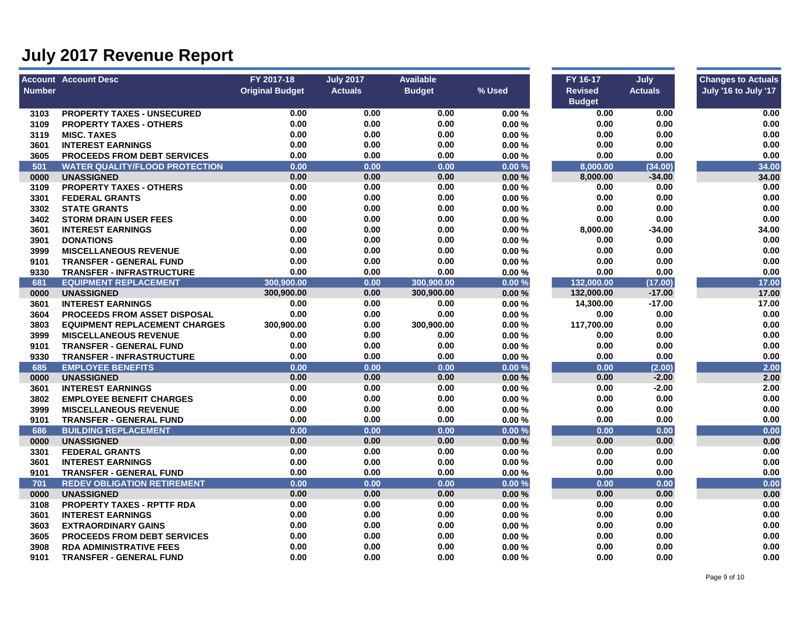|               | <b>Account Account Desc</b>           | FY 2017-18             | <b>July 2017</b> | <b>Available</b> |        | FY 16-17       | July           | <b>Changes to Actuals</b> |
|---------------|---------------------------------------|------------------------|------------------|------------------|--------|----------------|----------------|---------------------------|
| <b>Number</b> |                                       | <b>Original Budget</b> | <b>Actuals</b>   | <b>Budget</b>    | % Used | <b>Revised</b> | <b>Actuals</b> | July '16 to July '17      |
|               |                                       |                        |                  |                  |        | <b>Budget</b>  |                |                           |
| 3103          | <b>PROPERTY TAXES - UNSECURED</b>     | 0.00                   | 0.00             | 0.00             | 0.00%  | 0.00           | 0.00           | 0.00                      |
| 3109          | <b>PROPERTY TAXES - OTHERS</b>        | 0.00                   | 0.00             | 0.00             | 0.00%  | 0.00           | 0.00           | 0.00                      |
| 3119          | <b>MISC. TAXES</b>                    | 0.00                   | 0.00             | 0.00             | 0.00%  | 0.00           | 0.00           | 0.00                      |
| 3601          | <b>INTEREST EARNINGS</b>              | 0.00                   | 0.00             | 0.00             | 0.00%  | 0.00           | 0.00           | 0.00                      |
| 3605          | <b>PROCEEDS FROM DEBT SERVICES</b>    | 0.00                   | 0.00             | 0.00             | 0.00%  | 0.00           | 0.00           | 0.00                      |
| 501           | <b>WATER QUALITY/FLOOD PROTECTION</b> | 0.00                   | 0.00             | 0.00             | 0.00%  | 8,000.00       | (34.00)        | 34.00                     |
| 0000          | <b>UNASSIGNED</b>                     | 0.00                   | 0.00             | 0.00             | 0.00%  | 8,000.00       | $-34.00$       | 34.00                     |
| 3109          | <b>PROPERTY TAXES - OTHERS</b>        | 0.00                   | 0.00             | 0.00             | 0.00%  | 0.00           | 0.00           | 0.00                      |
| 3301          | <b>FEDERAL GRANTS</b>                 | 0.00                   | 0.00             | 0.00             | 0.00%  | 0.00           | 0.00           | 0.00                      |
| 3302          | <b>STATE GRANTS</b>                   | 0.00                   | 0.00             | 0.00             | 0.00%  | 0.00           | 0.00           | 0.00                      |
| 3402          | <b>STORM DRAIN USER FEES</b>          | 0.00                   | 0.00             | 0.00             | 0.00%  | 0.00           | 0.00           | 0.00                      |
| 3601          | <b>INTEREST EARNINGS</b>              | 0.00                   | 0.00             | 0.00             | 0.00%  | 8,000.00       | $-34.00$       | 34.00                     |
| 3901          | <b>DONATIONS</b>                      | 0.00                   | 0.00             | 0.00             | 0.00%  | 0.00           | 0.00           | 0.00                      |
| 3999          | <b>MISCELLANEOUS REVENUE</b>          | 0.00                   | 0.00             | 0.00             | 0.00%  | 0.00           | 0.00           | 0.00                      |
| 9101          | <b>TRANSFER - GENERAL FUND</b>        | 0.00                   | 0.00             | 0.00             | 0.00%  | 0.00           | 0.00           | 0.00                      |
| 9330          | <b>TRANSFER - INFRASTRUCTURE</b>      | 0.00                   | 0.00             | 0.00             | 0.00%  | 0.00           | 0.00           | 0.00                      |
| 681           | <b>EQUIPMENT REPLACEMENT</b>          | 300,900.00             | 0.00             | 300,900.00       | 0.00%  | 132,000.00     | (17.00)        | 17.00                     |
| 0000          | <b>UNASSIGNED</b>                     | 300,900.00             | 0.00             | 300,900.00       | 0.00%  | 132,000.00     | $-17.00$       | 17.00                     |
| 3601          | <b>INTEREST EARNINGS</b>              | 0.00                   | 0.00             | 0.00             | 0.00%  | 14,300.00      | $-17.00$       | 17.00                     |
| 3604          | <b>PROCEEDS FROM ASSET DISPOSAL</b>   | 0.00                   | 0.00             | 0.00             | 0.00%  | 0.00           | 0.00           | 0.00                      |
| 3803          | <b>EQUIPMENT REPLACEMENT CHARGES</b>  | 300,900.00             | 0.00             | 300,900.00       | 0.00%  | 117,700.00     | 0.00           | 0.00                      |
| 3999          | <b>MISCELLANEOUS REVENUE</b>          | 0.00                   | 0.00             | 0.00             | 0.00%  | 0.00           | 0.00           | 0.00                      |
| 9101          | <b>TRANSFER - GENERAL FUND</b>        | 0.00                   | 0.00             | 0.00             | 0.00%  | 0.00           | 0.00           | 0.00                      |
| 9330          | <b>TRANSFER - INFRASTRUCTURE</b>      | 0.00                   | 0.00             | 0.00             | 0.00%  | 0.00           | 0.00           | 0.00                      |
| 685           | <b>EMPLOYEE BENEFITS</b>              | 0.00                   | 0.00             | 0.00             | 0.00%  | 0.00           | (2.00)         | 2.00                      |
| 0000          | <b>UNASSIGNED</b>                     | 0.00                   | 0.00             | 0.00             | 0.00%  | 0.00           | $-2.00$        | 2.00                      |
| 3601          | <b>INTEREST EARNINGS</b>              | 0.00                   | 0.00             | 0.00             | 0.00%  | 0.00           | $-2.00$        | 2.00                      |
| 3802          | <b>EMPLOYEE BENEFIT CHARGES</b>       | 0.00                   | 0.00             | 0.00             | 0.00%  | 0.00           | 0.00           | 0.00                      |
| 3999          | <b>MISCELLANEOUS REVENUE</b>          | 0.00                   | 0.00             | 0.00             | 0.00%  | 0.00           | 0.00           | 0.00                      |
| 9101          | <b>TRANSFER - GENERAL FUND</b>        | 0.00                   | 0.00             | 0.00             | 0.00%  | 0.00           | 0.00           | 0.00                      |
| 686           | <b>BUILDING REPLACEMENT</b>           | 0.00                   | 0.00             | 0.00             | 0.00%  | 0.00           | 0.00           | 0.00                      |
| 0000          | <b>UNASSIGNED</b>                     | 0.00                   | 0.00             | 0.00             | 0.00%  | 0.00           | 0.00           | 0.00                      |
| 3301          | <b>FEDERAL GRANTS</b>                 | 0.00                   | 0.00             | 0.00             | 0.00%  | 0.00           | 0.00           | 0.00                      |
| 3601          | <b>INTEREST EARNINGS</b>              | 0.00                   | 0.00             | 0.00             | 0.00%  | 0.00           | 0.00           | 0.00                      |
| 9101          | <b>TRANSFER - GENERAL FUND</b>        | 0.00                   | 0.00             | 0.00             | 0.00%  | 0.00           | 0.00           | 0.00                      |
| 701           | <b>REDEV OBLIGATION RETIREMENT</b>    | 0.00                   | 0.00             | 0.00             | 0.00%  | 0.00           | 0.00           | 0.00                      |
| 0000          | <b>UNASSIGNED</b>                     | 0.00                   | 0.00             | 0.00             | 0.00%  | 0.00           | 0.00           | 0.00                      |
| 3108          | <b>PROPERTY TAXES - RPTTF RDA</b>     | 0.00                   | 0.00             | 0.00             | 0.00%  | 0.00           | 0.00           | 0.00                      |
| 3601          | <b>INTEREST EARNINGS</b>              | 0.00                   | 0.00             | 0.00             | 0.00%  | 0.00           | 0.00           | 0.00                      |
| 3603          | <b>EXTRAORDINARY GAINS</b>            | 0.00                   | 0.00             | 0.00             | 0.00%  | 0.00           | 0.00           | 0.00                      |
| 3605          | <b>PROCEEDS FROM DEBT SERVICES</b>    | 0.00                   | 0.00             | 0.00             | 0.00%  | 0.00           | 0.00           | 0.00                      |
| 3908          | <b>RDA ADMINISTRATIVE FEES</b>        | 0.00                   | 0.00             | 0.00             | 0.00%  | 0.00           | 0.00           | 0.00                      |
| 9101          | <b>TRANSFER - GENERAL FUND</b>        | 0.00                   | 0.00             | 0.00             | 0.00%  | 0.00           | 0.00           | 0.00                      |